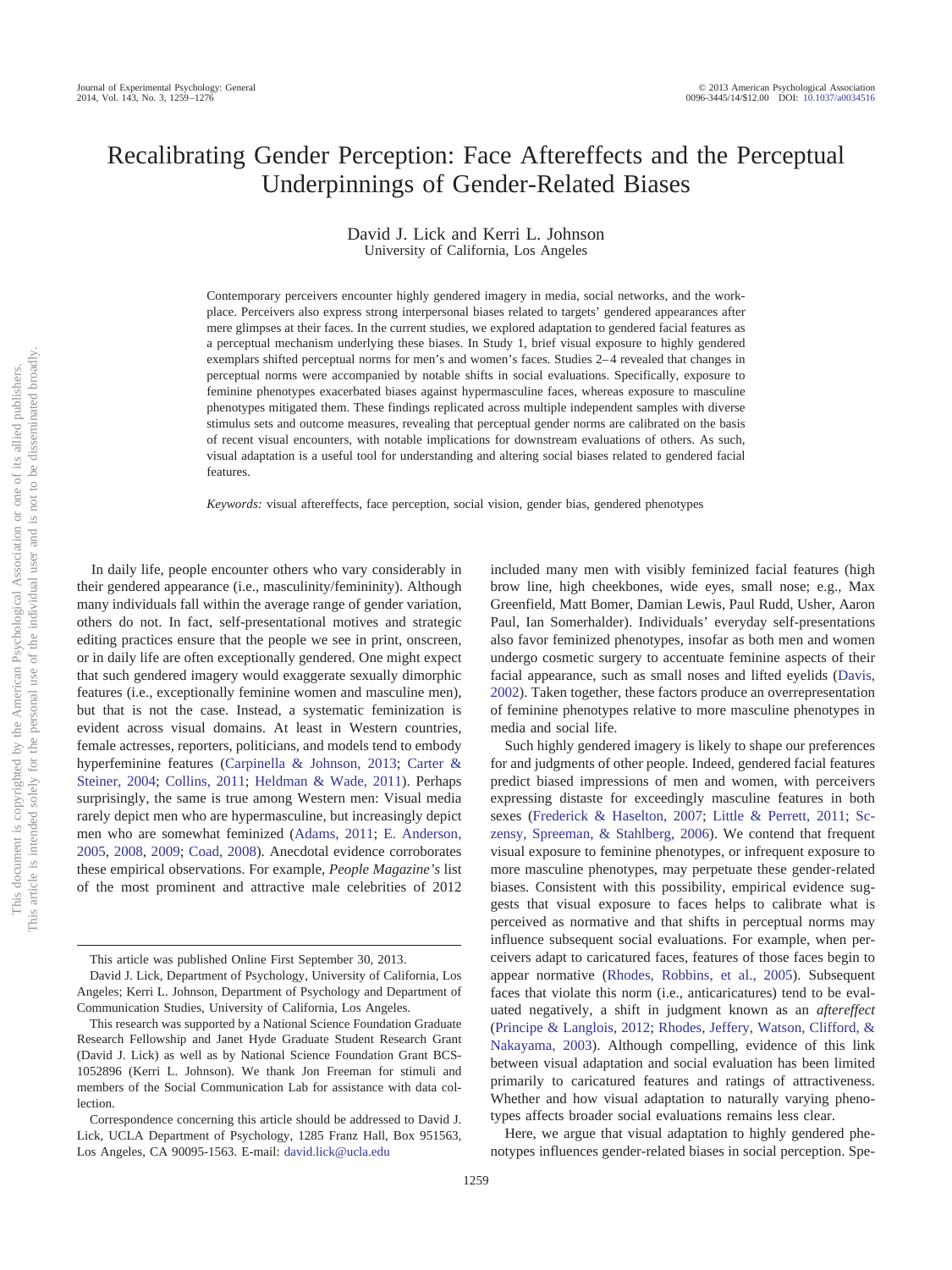# Recalibrating Gender Perception: Face Aftereffects and the Perceptual Underpinnings of Gender-Related Biases

David J. Lick and Kerri L. Johnson University of California, Los Angeles

Contemporary perceivers encounter highly gendered imagery in media, social networks, and the workplace. Perceivers also express strong interpersonal biases related to targets' gendered appearances after mere glimpses at their faces. In the current studies, we explored adaptation to gendered facial features as a perceptual mechanism underlying these biases. In Study 1, brief visual exposure to highly gendered exemplars shifted perceptual norms for men's and women's faces. Studies 2-4 revealed that changes in perceptual norms were accompanied by notable shifts in social evaluations. Specifically, exposure to feminine phenotypes exacerbated biases against hypermasculine faces, whereas exposure to masculine phenotypes mitigated them. These findings replicated across multiple independent samples with diverse stimulus sets and outcome measures, revealing that perceptual gender norms are calibrated on the basis of recent visual encounters, with notable implications for downstream evaluations of others. As such, visual adaptation is a useful tool for understanding and altering social biases related to gendered facial features.

*Keywords:* visual aftereffects, face perception, social vision, gender bias, gendered phenotypes

In daily life, people encounter others who vary considerably in their gendered appearance (i.e., masculinity/femininity). Although many individuals fall within the average range of gender variation, others do not. In fact, self-presentational motives and strategic editing practices ensure that the people we see in print, onscreen, or in daily life are often exceptionally gendered. One might expect that such gendered imagery would exaggerate sexually dimorphic features (i.e., exceptionally feminine women and masculine men), but that is not the case. Instead, a systematic feminization is evident across visual domains. At least in Western countries, female actresses, reporters, politicians, and models tend to embody hyperfeminine features (Carpinella & Johnson, 2013; Carter & Steiner, 2004; Collins, 2011; Heldman & Wade, 2011). Perhaps surprisingly, the same is true among Western men: Visual media rarely depict men who are hypermasculine, but increasingly depict men who are somewhat feminized (Adams, 2011; E. Anderson, 2005, 2008, 2009; Coad, 2008). Anecdotal evidence corroborates these empirical observations. For example, *People Magazine's* list of the most prominent and attractive male celebrities of 2012 included many men with visibly feminized facial features (high brow line, high cheekbones, wide eyes, small nose; e.g., Max Greenfield, Matt Bomer, Damian Lewis, Paul Rudd, Usher, Aaron Paul, Ian Somerhalder). Individuals' everyday self-presentations also favor feminized phenotypes, insofar as both men and women undergo cosmetic surgery to accentuate feminine aspects of their facial appearance, such as small noses and lifted eyelids (Davis, 2002). Taken together, these factors produce an overrepresentation of feminine phenotypes relative to more masculine phenotypes in media and social life.

Such highly gendered imagery is likely to shape our preferences for and judgments of other people. Indeed, gendered facial features predict biased impressions of men and women, with perceivers expressing distaste for exceedingly masculine features in both sexes (Frederick & Haselton, 2007; Little & Perrett, 2011; Sczensy, Spreeman, & Stahlberg, 2006). We contend that frequent visual exposure to feminine phenotypes, or infrequent exposure to more masculine phenotypes, may perpetuate these gender-related biases. Consistent with this possibility, empirical evidence suggests that visual exposure to faces helps to calibrate what is perceived as normative and that shifts in perceptual norms may influence subsequent social evaluations. For example, when perceivers adapt to caricatured faces, features of those faces begin to appear normative (Rhodes, Robbins, et al., 2005). Subsequent faces that violate this norm (i.e., anticaricatures) tend to be evaluated negatively, a shift in judgment known as an *aftereffect* (Principe & Langlois, 2012; Rhodes, Jeffery, Watson, Clifford, & Nakayama, 2003). Although compelling, evidence of this link between visual adaptation and social evaluation has been limited primarily to caricatured features and ratings of attractiveness. Whether and how visual adaptation to naturally varying phenotypes affects broader social evaluations remains less clear.

Here, we argue that visual adaptation to highly gendered phenotypes influences gender-related biases in social perception. Spe-

This article was published Online First September 30, 2013.

David J. Lick, Department of Psychology, University of California, Los Angeles; Kerri L. Johnson, Department of Psychology and Department of Communication Studies, University of California, Los Angeles.

This research was supported by a National Science Foundation Graduate Research Fellowship and Janet Hyde Graduate Student Research Grant (David J. Lick) as well as by National Science Foundation Grant BCS-1052896 (Kerri L. Johnson). We thank Jon Freeman for stimuli and members of the Social Communication Lab for assistance with data collection.

Correspondence concerning this article should be addressed to David J. Lick, UCLA Department of Psychology, 1285 Franz Hall, Box 951563, Los Angeles, CA 90095-1563. E-mail: david.lick@ucla.edu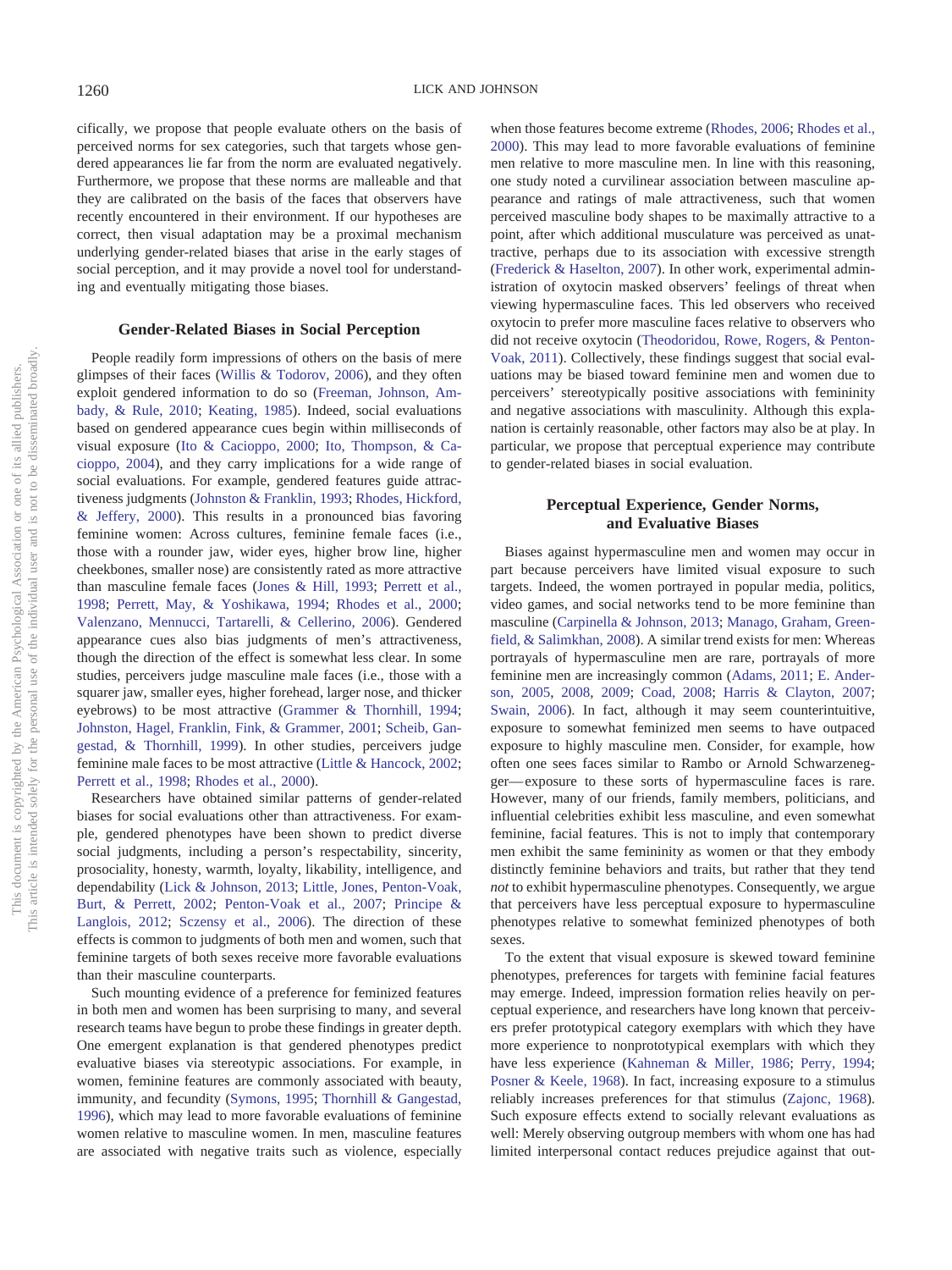cifically, we propose that people evaluate others on the basis of perceived norms for sex categories, such that targets whose gendered appearances lie far from the norm are evaluated negatively. Furthermore, we propose that these norms are malleable and that they are calibrated on the basis of the faces that observers have recently encountered in their environment. If our hypotheses are correct, then visual adaptation may be a proximal mechanism underlying gender-related biases that arise in the early stages of social perception, and it may provide a novel tool for understanding and eventually mitigating those biases.

#### **Gender-Related Biases in Social Perception**

People readily form impressions of others on the basis of mere glimpses of their faces (Willis & Todorov, 2006), and they often exploit gendered information to do so (Freeman, Johnson, Ambady, & Rule, 2010; Keating, 1985). Indeed, social evaluations based on gendered appearance cues begin within milliseconds of visual exposure (Ito & Cacioppo, 2000; Ito, Thompson, & Cacioppo, 2004), and they carry implications for a wide range of social evaluations. For example, gendered features guide attractiveness judgments (Johnston & Franklin, 1993; Rhodes, Hickford, & Jeffery, 2000). This results in a pronounced bias favoring feminine women: Across cultures, feminine female faces (i.e., those with a rounder jaw, wider eyes, higher brow line, higher cheekbones, smaller nose) are consistently rated as more attractive than masculine female faces (Jones & Hill, 1993; Perrett et al., 1998; Perrett, May, & Yoshikawa, 1994; Rhodes et al., 2000; Valenzano, Mennucci, Tartarelli, & Cellerino, 2006). Gendered appearance cues also bias judgments of men's attractiveness, though the direction of the effect is somewhat less clear. In some studies, perceivers judge masculine male faces (i.e., those with a squarer jaw, smaller eyes, higher forehead, larger nose, and thicker eyebrows) to be most attractive (Grammer & Thornhill, 1994; Johnston, Hagel, Franklin, Fink, & Grammer, 2001; Scheib, Gangestad, & Thornhill, 1999). In other studies, perceivers judge feminine male faces to be most attractive (Little & Hancock, 2002; Perrett et al., 1998; Rhodes et al., 2000).

Researchers have obtained similar patterns of gender-related biases for social evaluations other than attractiveness. For example, gendered phenotypes have been shown to predict diverse social judgments, including a person's respectability, sincerity, prosociality, honesty, warmth, loyalty, likability, intelligence, and dependability (Lick & Johnson, 2013; Little, Jones, Penton-Voak, Burt, & Perrett, 2002; Penton-Voak et al., 2007; Principe & Langlois, 2012; Sczensy et al., 2006). The direction of these effects is common to judgments of both men and women, such that feminine targets of both sexes receive more favorable evaluations than their masculine counterparts.

Such mounting evidence of a preference for feminized features in both men and women has been surprising to many, and several research teams have begun to probe these findings in greater depth. One emergent explanation is that gendered phenotypes predict evaluative biases via stereotypic associations. For example, in women, feminine features are commonly associated with beauty, immunity, and fecundity (Symons, 1995; Thornhill & Gangestad, 1996), which may lead to more favorable evaluations of feminine women relative to masculine women. In men, masculine features are associated with negative traits such as violence, especially

when those features become extreme (Rhodes, 2006; Rhodes et al., 2000). This may lead to more favorable evaluations of feminine men relative to more masculine men. In line with this reasoning, one study noted a curvilinear association between masculine appearance and ratings of male attractiveness, such that women perceived masculine body shapes to be maximally attractive to a point, after which additional musculature was perceived as unattractive, perhaps due to its association with excessive strength (Frederick & Haselton, 2007). In other work, experimental administration of oxytocin masked observers' feelings of threat when viewing hypermasculine faces. This led observers who received oxytocin to prefer more masculine faces relative to observers who did not receive oxytocin (Theodoridou, Rowe, Rogers, & Penton-Voak, 2011). Collectively, these findings suggest that social evaluations may be biased toward feminine men and women due to perceivers' stereotypically positive associations with femininity and negative associations with masculinity. Although this explanation is certainly reasonable, other factors may also be at play. In particular, we propose that perceptual experience may contribute to gender-related biases in social evaluation.

# **Perceptual Experience, Gender Norms, and Evaluative Biases**

Biases against hypermasculine men and women may occur in part because perceivers have limited visual exposure to such targets. Indeed, the women portrayed in popular media, politics, video games, and social networks tend to be more feminine than masculine (Carpinella & Johnson, 2013; Manago, Graham, Greenfield, & Salimkhan, 2008). A similar trend exists for men: Whereas portrayals of hypermasculine men are rare, portrayals of more feminine men are increasingly common (Adams, 2011; E. Anderson, 2005, 2008, 2009; Coad, 2008; Harris & Clayton, 2007; Swain, 2006). In fact, although it may seem counterintuitive, exposure to somewhat feminized men seems to have outpaced exposure to highly masculine men. Consider, for example, how often one sees faces similar to Rambo or Arnold Schwarzenegger— exposure to these sorts of hypermasculine faces is rare. However, many of our friends, family members, politicians, and influential celebrities exhibit less masculine, and even somewhat feminine, facial features. This is not to imply that contemporary men exhibit the same femininity as women or that they embody distinctly feminine behaviors and traits, but rather that they tend *not* to exhibit hypermasculine phenotypes. Consequently, we argue that perceivers have less perceptual exposure to hypermasculine phenotypes relative to somewhat feminized phenotypes of both sexes.

To the extent that visual exposure is skewed toward feminine phenotypes, preferences for targets with feminine facial features may emerge. Indeed, impression formation relies heavily on perceptual experience, and researchers have long known that perceivers prefer prototypical category exemplars with which they have more experience to nonprototypical exemplars with which they have less experience (Kahneman & Miller, 1986; Perry, 1994; Posner & Keele, 1968). In fact, increasing exposure to a stimulus reliably increases preferences for that stimulus (Zajonc, 1968). Such exposure effects extend to socially relevant evaluations as well: Merely observing outgroup members with whom one has had limited interpersonal contact reduces prejudice against that out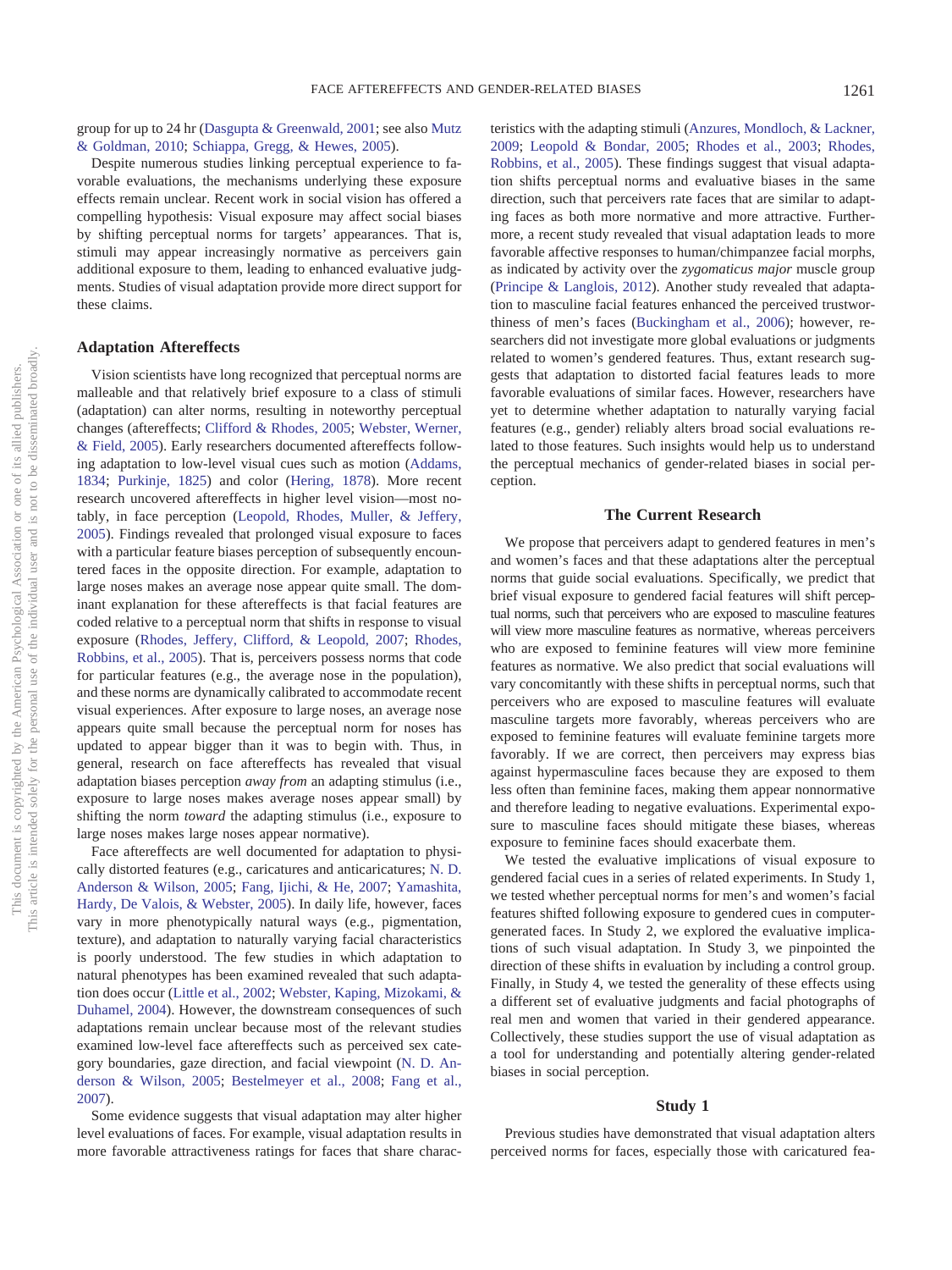group for up to 24 hr (Dasgupta & Greenwald, 2001; see also Mutz & Goldman, 2010; Schiappa, Gregg, & Hewes, 2005).

Despite numerous studies linking perceptual experience to favorable evaluations, the mechanisms underlying these exposure effects remain unclear. Recent work in social vision has offered a compelling hypothesis: Visual exposure may affect social biases by shifting perceptual norms for targets' appearances. That is, stimuli may appear increasingly normative as perceivers gain additional exposure to them, leading to enhanced evaluative judgments. Studies of visual adaptation provide more direct support for these claims.

# **Adaptation Aftereffects**

Vision scientists have long recognized that perceptual norms are malleable and that relatively brief exposure to a class of stimuli (adaptation) can alter norms, resulting in noteworthy perceptual changes (aftereffects; Clifford & Rhodes, 2005; Webster, Werner, & Field, 2005). Early researchers documented aftereffects following adaptation to low-level visual cues such as motion (Addams, 1834; Purkinje, 1825) and color (Hering, 1878). More recent research uncovered aftereffects in higher level vision—most notably, in face perception (Leopold, Rhodes, Muller, & Jeffery, 2005). Findings revealed that prolonged visual exposure to faces with a particular feature biases perception of subsequently encountered faces in the opposite direction. For example, adaptation to large noses makes an average nose appear quite small. The dominant explanation for these aftereffects is that facial features are coded relative to a perceptual norm that shifts in response to visual exposure (Rhodes, Jeffery, Clifford, & Leopold, 2007; Rhodes, Robbins, et al., 2005). That is, perceivers possess norms that code for particular features (e.g., the average nose in the population), and these norms are dynamically calibrated to accommodate recent visual experiences. After exposure to large noses, an average nose appears quite small because the perceptual norm for noses has updated to appear bigger than it was to begin with. Thus, in general, research on face aftereffects has revealed that visual adaptation biases perception *away from* an adapting stimulus (i.e., exposure to large noses makes average noses appear small) by shifting the norm *toward* the adapting stimulus (i.e., exposure to large noses makes large noses appear normative).

Face aftereffects are well documented for adaptation to physically distorted features (e.g., caricatures and anticaricatures; N. D. Anderson & Wilson, 2005; Fang, Ijichi, & He, 2007; Yamashita, Hardy, De Valois, & Webster, 2005). In daily life, however, faces vary in more phenotypically natural ways (e.g., pigmentation, texture), and adaptation to naturally varying facial characteristics is poorly understood. The few studies in which adaptation to natural phenotypes has been examined revealed that such adaptation does occur (Little et al., 2002; Webster, Kaping, Mizokami, & Duhamel, 2004). However, the downstream consequences of such adaptations remain unclear because most of the relevant studies examined low-level face aftereffects such as perceived sex category boundaries, gaze direction, and facial viewpoint (N. D. Anderson & Wilson, 2005; Bestelmeyer et al., 2008; Fang et al., 2007).

Some evidence suggests that visual adaptation may alter higher level evaluations of faces. For example, visual adaptation results in more favorable attractiveness ratings for faces that share charac-

teristics with the adapting stimuli (Anzures, Mondloch, & Lackner, 2009; Leopold & Bondar, 2005; Rhodes et al., 2003; Rhodes, Robbins, et al., 2005). These findings suggest that visual adaptation shifts perceptual norms and evaluative biases in the same direction, such that perceivers rate faces that are similar to adapting faces as both more normative and more attractive. Furthermore, a recent study revealed that visual adaptation leads to more favorable affective responses to human/chimpanzee facial morphs, as indicated by activity over the *zygomaticus major* muscle group (Principe & Langlois, 2012). Another study revealed that adaptation to masculine facial features enhanced the perceived trustworthiness of men's faces (Buckingham et al., 2006); however, researchers did not investigate more global evaluations or judgments related to women's gendered features. Thus, extant research suggests that adaptation to distorted facial features leads to more favorable evaluations of similar faces. However, researchers have yet to determine whether adaptation to naturally varying facial features (e.g., gender) reliably alters broad social evaluations related to those features. Such insights would help us to understand the perceptual mechanics of gender-related biases in social perception.

#### **The Current Research**

We propose that perceivers adapt to gendered features in men's and women's faces and that these adaptations alter the perceptual norms that guide social evaluations. Specifically, we predict that brief visual exposure to gendered facial features will shift perceptual norms, such that perceivers who are exposed to masculine features will view more masculine features as normative, whereas perceivers who are exposed to feminine features will view more feminine features as normative. We also predict that social evaluations will vary concomitantly with these shifts in perceptual norms, such that perceivers who are exposed to masculine features will evaluate masculine targets more favorably, whereas perceivers who are exposed to feminine features will evaluate feminine targets more favorably. If we are correct, then perceivers may express bias against hypermasculine faces because they are exposed to them less often than feminine faces, making them appear nonnormative and therefore leading to negative evaluations. Experimental exposure to masculine faces should mitigate these biases, whereas exposure to feminine faces should exacerbate them.

We tested the evaluative implications of visual exposure to gendered facial cues in a series of related experiments. In Study 1, we tested whether perceptual norms for men's and women's facial features shifted following exposure to gendered cues in computergenerated faces. In Study 2, we explored the evaluative implications of such visual adaptation. In Study 3, we pinpointed the direction of these shifts in evaluation by including a control group. Finally, in Study 4, we tested the generality of these effects using a different set of evaluative judgments and facial photographs of real men and women that varied in their gendered appearance. Collectively, these studies support the use of visual adaptation as a tool for understanding and potentially altering gender-related biases in social perception.

#### **Study 1**

Previous studies have demonstrated that visual adaptation alters perceived norms for faces, especially those with caricatured fea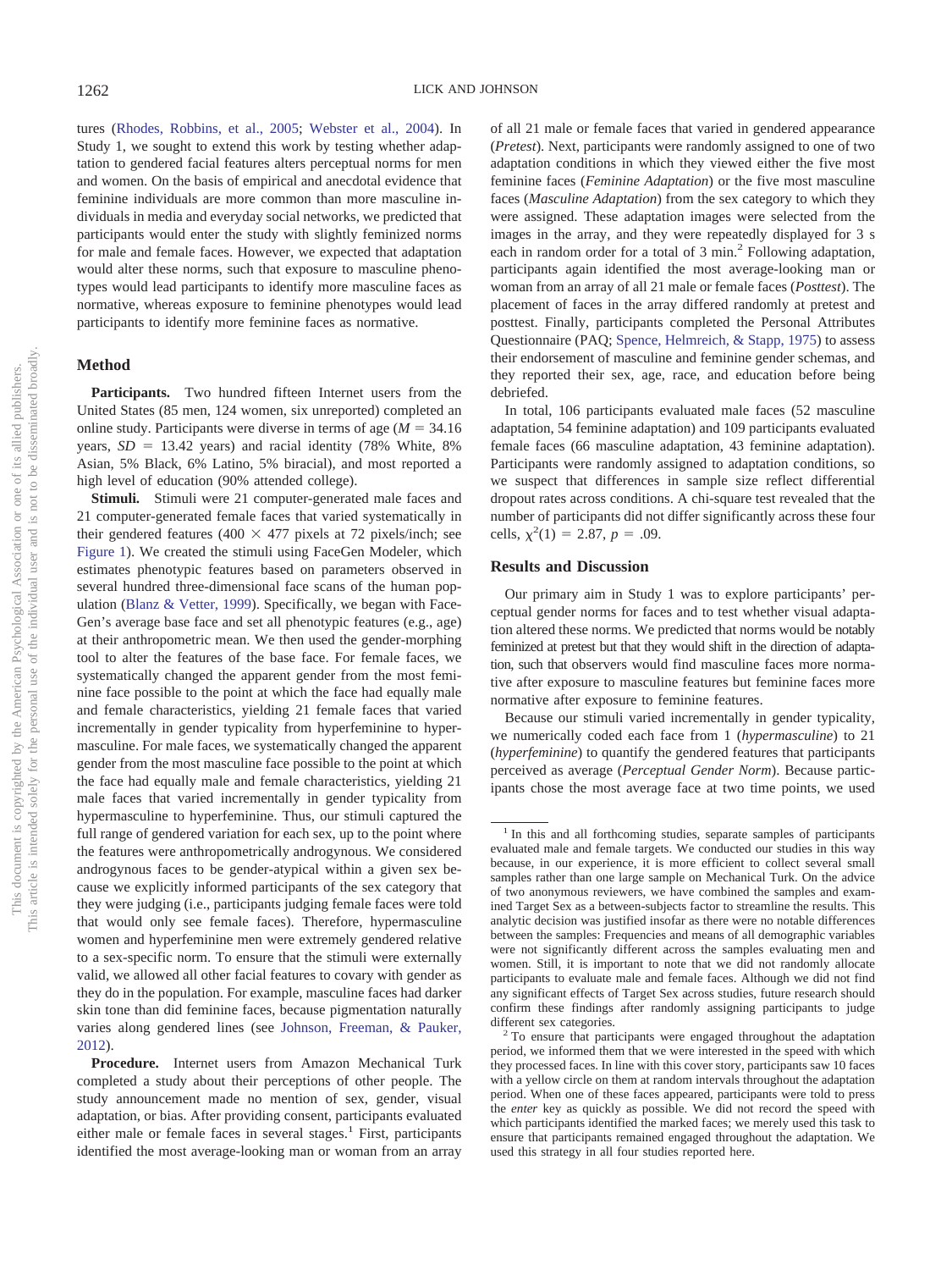tures (Rhodes, Robbins, et al., 2005; Webster et al., 2004). In Study 1, we sought to extend this work by testing whether adaptation to gendered facial features alters perceptual norms for men and women. On the basis of empirical and anecdotal evidence that feminine individuals are more common than more masculine individuals in media and everyday social networks, we predicted that participants would enter the study with slightly feminized norms for male and female faces. However, we expected that adaptation would alter these norms, such that exposure to masculine phenotypes would lead participants to identify more masculine faces as normative, whereas exposure to feminine phenotypes would lead participants to identify more feminine faces as normative.

# **Method**

**Participants.** Two hundred fifteen Internet users from the United States (85 men, 124 women, six unreported) completed an online study. Participants were diverse in terms of age  $(M = 34.16)$ years,  $SD = 13.42$  years) and racial identity (78% White, 8% Asian, 5% Black, 6% Latino, 5% biracial), and most reported a high level of education (90% attended college).

**Stimuli.** Stimuli were 21 computer-generated male faces and 21 computer-generated female faces that varied systematically in their gendered features (400  $\times$  477 pixels at 72 pixels/inch; see Figure 1). We created the stimuli using FaceGen Modeler, which estimates phenotypic features based on parameters observed in several hundred three-dimensional face scans of the human population (Blanz & Vetter, 1999). Specifically, we began with Face-Gen's average base face and set all phenotypic features (e.g., age) at their anthropometric mean. We then used the gender-morphing tool to alter the features of the base face. For female faces, we systematically changed the apparent gender from the most feminine face possible to the point at which the face had equally male and female characteristics, yielding 21 female faces that varied incrementally in gender typicality from hyperfeminine to hypermasculine. For male faces, we systematically changed the apparent gender from the most masculine face possible to the point at which the face had equally male and female characteristics, yielding 21 male faces that varied incrementally in gender typicality from hypermasculine to hyperfeminine. Thus, our stimuli captured the full range of gendered variation for each sex, up to the point where the features were anthropometrically androgynous. We considered androgynous faces to be gender-atypical within a given sex because we explicitly informed participants of the sex category that they were judging (i.e., participants judging female faces were told that would only see female faces). Therefore, hypermasculine women and hyperfeminine men were extremely gendered relative to a sex-specific norm. To ensure that the stimuli were externally valid, we allowed all other facial features to covary with gender as they do in the population. For example, masculine faces had darker skin tone than did feminine faces, because pigmentation naturally varies along gendered lines (see Johnson, Freeman, & Pauker, 2012).

**Procedure.** Internet users from Amazon Mechanical Turk completed a study about their perceptions of other people. The study announcement made no mention of sex, gender, visual adaptation, or bias. After providing consent, participants evaluated either male or female faces in several stages.<sup>1</sup> First, participants identified the most average-looking man or woman from an array of all 21 male or female faces that varied in gendered appearance (*Pretest*). Next, participants were randomly assigned to one of two adaptation conditions in which they viewed either the five most feminine faces (*Feminine Adaptation*) or the five most masculine faces (*Masculine Adaptation*) from the sex category to which they were assigned. These adaptation images were selected from the images in the array, and they were repeatedly displayed for 3 s each in random order for a total of 3 min.<sup>2</sup> Following adaptation, participants again identified the most average-looking man or woman from an array of all 21 male or female faces (*Posttest*). The placement of faces in the array differed randomly at pretest and posttest. Finally, participants completed the Personal Attributes Questionnaire (PAQ; Spence, Helmreich, & Stapp, 1975) to assess their endorsement of masculine and feminine gender schemas, and they reported their sex, age, race, and education before being debriefed.

In total, 106 participants evaluated male faces (52 masculine adaptation, 54 feminine adaptation) and 109 participants evaluated female faces (66 masculine adaptation, 43 feminine adaptation). Participants were randomly assigned to adaptation conditions, so we suspect that differences in sample size reflect differential dropout rates across conditions. A chi-square test revealed that the number of participants did not differ significantly across these four cells,  $\chi^2(1) = 2.87, p = .09$ .

## **Results and Discussion**

Our primary aim in Study 1 was to explore participants' perceptual gender norms for faces and to test whether visual adaptation altered these norms. We predicted that norms would be notably feminized at pretest but that they would shift in the direction of adaptation, such that observers would find masculine faces more normative after exposure to masculine features but feminine faces more normative after exposure to feminine features.

Because our stimuli varied incrementally in gender typicality, we numerically coded each face from 1 (*hypermasculine*) to 21 (*hyperfeminine*) to quantify the gendered features that participants perceived as average (*Perceptual Gender Norm*). Because participants chose the most average face at two time points, we used

<sup>&</sup>lt;sup>1</sup> In this and all forthcoming studies, separate samples of participants evaluated male and female targets. We conducted our studies in this way because, in our experience, it is more efficient to collect several small samples rather than one large sample on Mechanical Turk. On the advice of two anonymous reviewers, we have combined the samples and examined Target Sex as a between-subjects factor to streamline the results. This analytic decision was justified insofar as there were no notable differences between the samples: Frequencies and means of all demographic variables were not significantly different across the samples evaluating men and women. Still, it is important to note that we did not randomly allocate participants to evaluate male and female faces. Although we did not find any significant effects of Target Sex across studies, future research should confirm these findings after randomly assigning participants to judge

different sex categories.<br><sup>2</sup> To ensure that participants were engaged throughout the adaptation period, we informed them that we were interested in the speed with which they processed faces. In line with this cover story, participants saw 10 faces with a yellow circle on them at random intervals throughout the adaptation period. When one of these faces appeared, participants were told to press the *enter* key as quickly as possible. We did not record the speed with which participants identified the marked faces; we merely used this task to ensure that participants remained engaged throughout the adaptation. We used this strategy in all four studies reported here.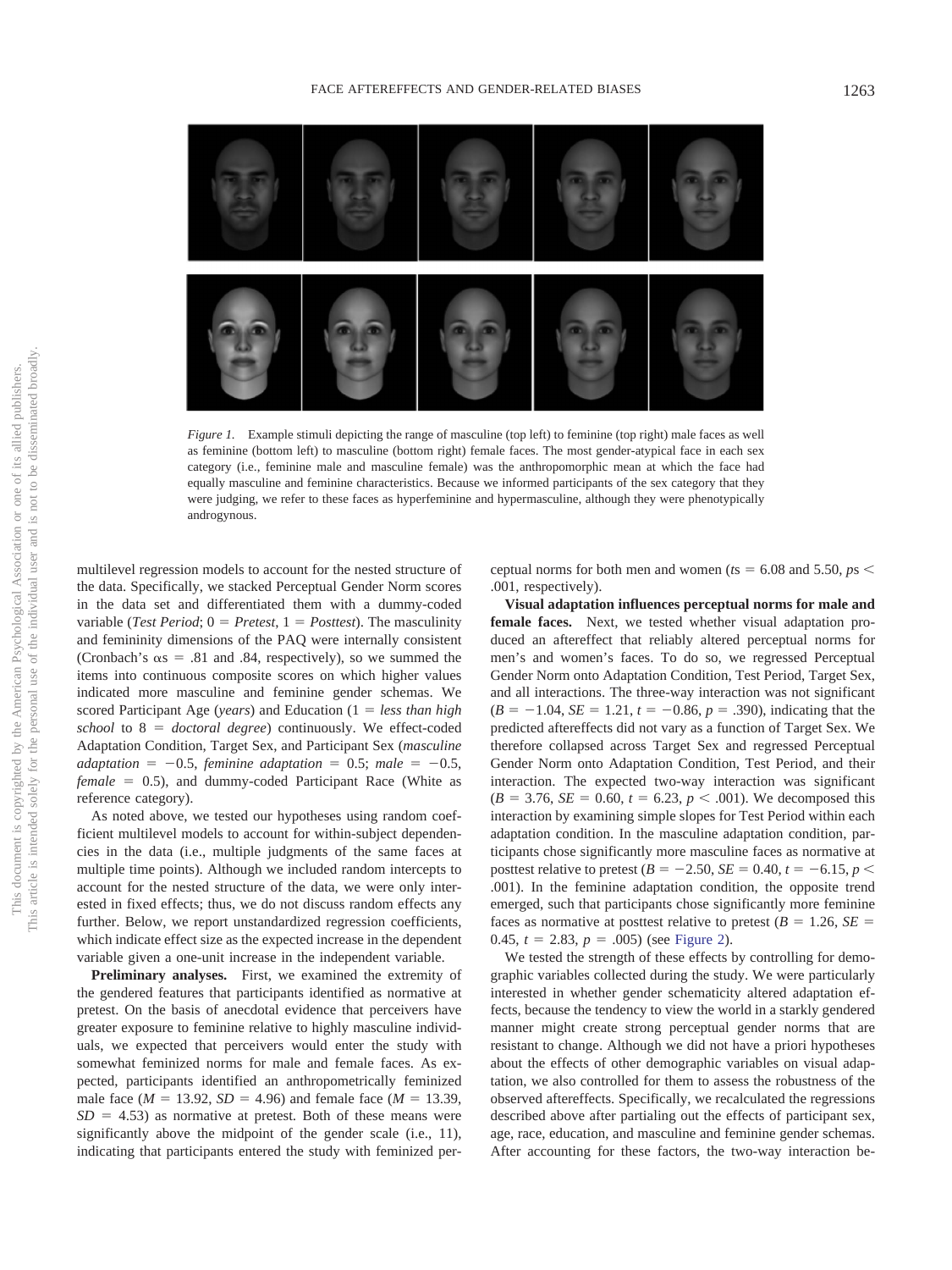

*Figure 1.* Example stimuli depicting the range of masculine (top left) to feminine (top right) male faces as well as feminine (bottom left) to masculine (bottom right) female faces. The most gender-atypical face in each sex category (i.e., feminine male and masculine female) was the anthropomorphic mean at which the face had equally masculine and feminine characteristics. Because we informed participants of the sex category that they were judging, we refer to these faces as hyperfeminine and hypermasculine, although they were phenotypically androgynous.

multilevel regression models to account for the nested structure of the data. Specifically, we stacked Perceptual Gender Norm scores in the data set and differentiated them with a dummy-coded variable (*Test Period*;  $0 = Pretest$ ,  $1 = Posttest$ ). The masculinity and femininity dimensions of the PAQ were internally consistent (Cronbach's  $\alpha s = .81$  and .84, respectively), so we summed the items into continuous composite scores on which higher values indicated more masculine and feminine gender schemas. We scored Participant Age (*years*) and Education (1 = less than high *school* to 8 - *doctoral degree*) continuously. We effect-coded Adaptation Condition, Target Sex, and Participant Sex (*masculine*  $adaptation = -0.5, *feminine adaptation = 0.5; male = -0.5,*$ female = 0.5), and dummy-coded Participant Race (White as reference category).

As noted above, we tested our hypotheses using random coefficient multilevel models to account for within-subject dependencies in the data (i.e., multiple judgments of the same faces at multiple time points). Although we included random intercepts to account for the nested structure of the data, we were only interested in fixed effects; thus, we do not discuss random effects any further. Below, we report unstandardized regression coefficients, which indicate effect size as the expected increase in the dependent variable given a one-unit increase in the independent variable.

**Preliminary analyses.** First, we examined the extremity of the gendered features that participants identified as normative at pretest. On the basis of anecdotal evidence that perceivers have greater exposure to feminine relative to highly masculine individuals, we expected that perceivers would enter the study with somewhat feminized norms for male and female faces. As expected, participants identified an anthropometrically feminized male face ( $M = 13.92$ ,  $SD = 4.96$ ) and female face ( $M = 13.39$ ,  $SD = 4.53$ ) as normative at pretest. Both of these means were significantly above the midpoint of the gender scale (i.e., 11), indicating that participants entered the study with feminized per-

ceptual norms for both men and women ( $t s = 6.08$  and  $5.50, ps <$ .001, respectively).

**Visual adaptation influences perceptual norms for male and female faces.** Next, we tested whether visual adaptation produced an aftereffect that reliably altered perceptual norms for men's and women's faces. To do so, we regressed Perceptual Gender Norm onto Adaptation Condition, Test Period, Target Sex, and all interactions. The three-way interaction was not significant  $(B = -1.04, SE = 1.21, t = -0.86, p = .390)$ , indicating that the predicted aftereffects did not vary as a function of Target Sex. We therefore collapsed across Target Sex and regressed Perceptual Gender Norm onto Adaptation Condition, Test Period, and their interaction. The expected two-way interaction was significant  $(B = 3.76, SE = 0.60, t = 6.23, p < .001)$ . We decomposed this interaction by examining simple slopes for Test Period within each adaptation condition. In the masculine adaptation condition, participants chose significantly more masculine faces as normative at posttest relative to pretest ( $B = -2.50$ ,  $SE = 0.40$ ,  $t = -6.15$ ,  $p <$ .001). In the feminine adaptation condition, the opposite trend emerged, such that participants chose significantly more feminine faces as normative at posttest relative to pretest  $(B = 1.26, SE = 1.26)$ 0.45,  $t = 2.83$ ,  $p = .005$ ) (see Figure 2).

We tested the strength of these effects by controlling for demographic variables collected during the study. We were particularly interested in whether gender schematicity altered adaptation effects, because the tendency to view the world in a starkly gendered manner might create strong perceptual gender norms that are resistant to change. Although we did not have a priori hypotheses about the effects of other demographic variables on visual adaptation, we also controlled for them to assess the robustness of the observed aftereffects. Specifically, we recalculated the regressions described above after partialing out the effects of participant sex, age, race, education, and masculine and feminine gender schemas. After accounting for these factors, the two-way interaction be-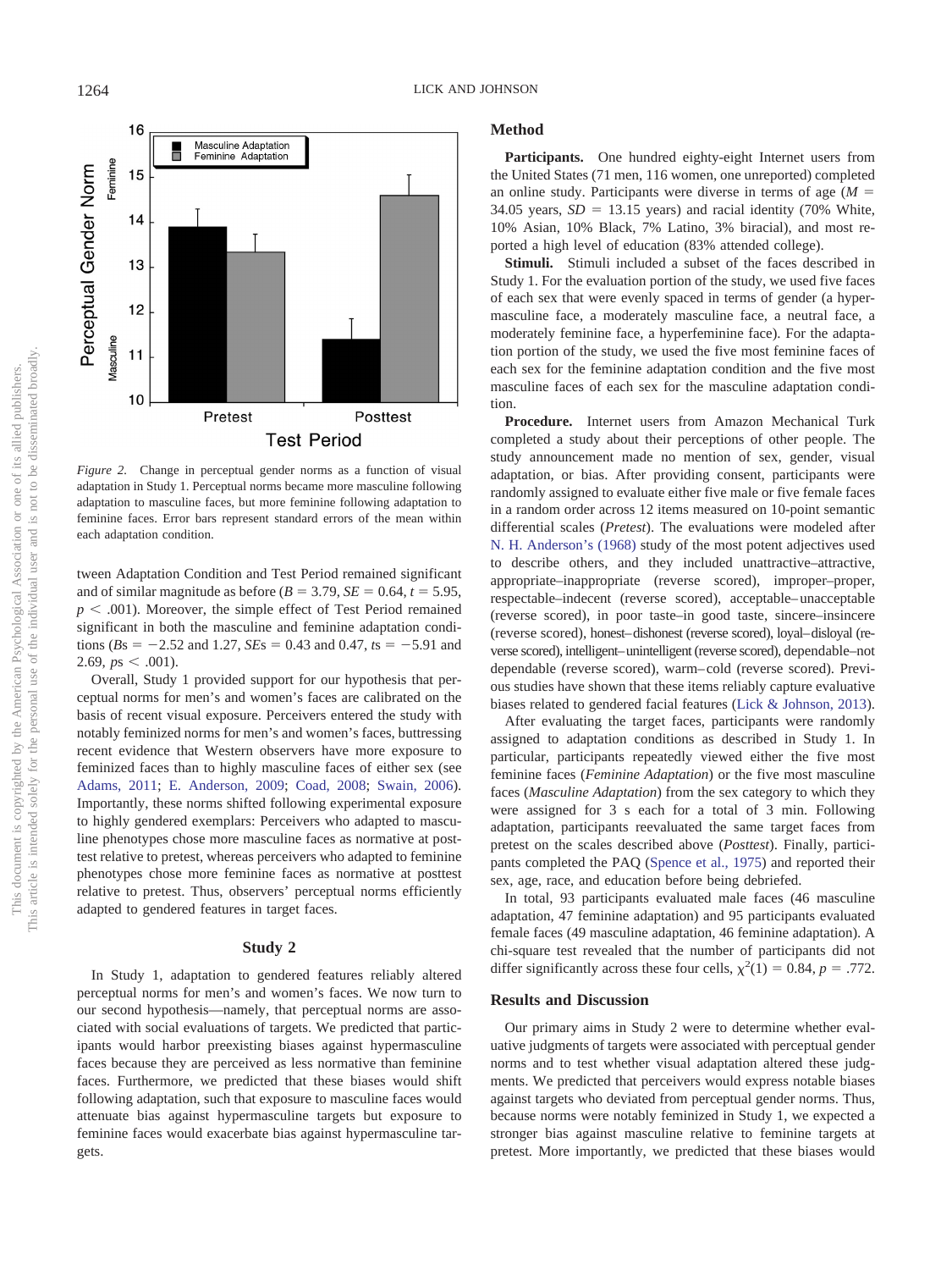

*Figure 2.* Change in perceptual gender norms as a function of visual adaptation in Study 1. Perceptual norms became more masculine following adaptation to masculine faces, but more feminine following adaptation to feminine faces. Error bars represent standard errors of the mean within each adaptation condition.

tween Adaptation Condition and Test Period remained significant and of similar magnitude as before  $(B = 3.79, SE = 0.64, t = 5.95,$  $p < .001$ ). Moreover, the simple effect of Test Period remained significant in both the masculine and feminine adaptation condi $tions (Bs = -2.52 and 1.27, SEs = 0.43 and 0.47, ts = -5.91 and$ 2.69,  $ps < .001$ ).

Overall, Study 1 provided support for our hypothesis that perceptual norms for men's and women's faces are calibrated on the basis of recent visual exposure. Perceivers entered the study with notably feminized norms for men's and women's faces, buttressing recent evidence that Western observers have more exposure to feminized faces than to highly masculine faces of either sex (see Adams, 2011; E. Anderson, 2009; Coad, 2008; Swain, 2006). Importantly, these norms shifted following experimental exposure to highly gendered exemplars: Perceivers who adapted to masculine phenotypes chose more masculine faces as normative at posttest relative to pretest, whereas perceivers who adapted to feminine phenotypes chose more feminine faces as normative at posttest relative to pretest. Thus, observers' perceptual norms efficiently adapted to gendered features in target faces.

#### **Study 2**

In Study 1, adaptation to gendered features reliably altered perceptual norms for men's and women's faces. We now turn to our second hypothesis—namely, that perceptual norms are associated with social evaluations of targets. We predicted that participants would harbor preexisting biases against hypermasculine faces because they are perceived as less normative than feminine faces. Furthermore, we predicted that these biases would shift following adaptation, such that exposure to masculine faces would attenuate bias against hypermasculine targets but exposure to feminine faces would exacerbate bias against hypermasculine targets.

### **Method**

**Participants.** One hundred eighty-eight Internet users from the United States (71 men, 116 women, one unreported) completed an online study. Participants were diverse in terms of age  $(M =$ 34.05 years,  $SD = 13.15$  years) and racial identity (70% White, 10% Asian, 10% Black, 7% Latino, 3% biracial), and most reported a high level of education (83% attended college).

**Stimuli.** Stimuli included a subset of the faces described in Study 1. For the evaluation portion of the study, we used five faces of each sex that were evenly spaced in terms of gender (a hypermasculine face, a moderately masculine face, a neutral face, a moderately feminine face, a hyperfeminine face). For the adaptation portion of the study, we used the five most feminine faces of each sex for the feminine adaptation condition and the five most masculine faces of each sex for the masculine adaptation condition.

**Procedure.** Internet users from Amazon Mechanical Turk completed a study about their perceptions of other people. The study announcement made no mention of sex, gender, visual adaptation, or bias. After providing consent, participants were randomly assigned to evaluate either five male or five female faces in a random order across 12 items measured on 10-point semantic differential scales (*Pretest*). The evaluations were modeled after N. H. Anderson's (1968) study of the most potent adjectives used to describe others, and they included unattractive–attractive, appropriate–inappropriate (reverse scored), improper–proper, respectable–indecent (reverse scored), acceptable– unacceptable (reverse scored), in poor taste–in good taste, sincere–insincere (reverse scored), honest–dishonest (reverse scored), loyal–disloyal (reverse scored), intelligent–unintelligent (reverse scored), dependable–not dependable (reverse scored), warm– cold (reverse scored). Previous studies have shown that these items reliably capture evaluative biases related to gendered facial features (Lick & Johnson, 2013).

After evaluating the target faces, participants were randomly assigned to adaptation conditions as described in Study 1. In particular, participants repeatedly viewed either the five most feminine faces (*Feminine Adaptation*) or the five most masculine faces (*Masculine Adaptation*) from the sex category to which they were assigned for 3 s each for a total of 3 min. Following adaptation, participants reevaluated the same target faces from pretest on the scales described above (*Posttest*). Finally, participants completed the PAQ (Spence et al., 1975) and reported their sex, age, race, and education before being debriefed.

In total, 93 participants evaluated male faces (46 masculine adaptation, 47 feminine adaptation) and 95 participants evaluated female faces (49 masculine adaptation, 46 feminine adaptation). A chi-square test revealed that the number of participants did not differ significantly across these four cells,  $\chi^2(1) = 0.84$ ,  $p = .772$ .

### **Results and Discussion**

Our primary aims in Study 2 were to determine whether evaluative judgments of targets were associated with perceptual gender norms and to test whether visual adaptation altered these judgments. We predicted that perceivers would express notable biases against targets who deviated from perceptual gender norms. Thus, because norms were notably feminized in Study 1, we expected a stronger bias against masculine relative to feminine targets at pretest. More importantly, we predicted that these biases would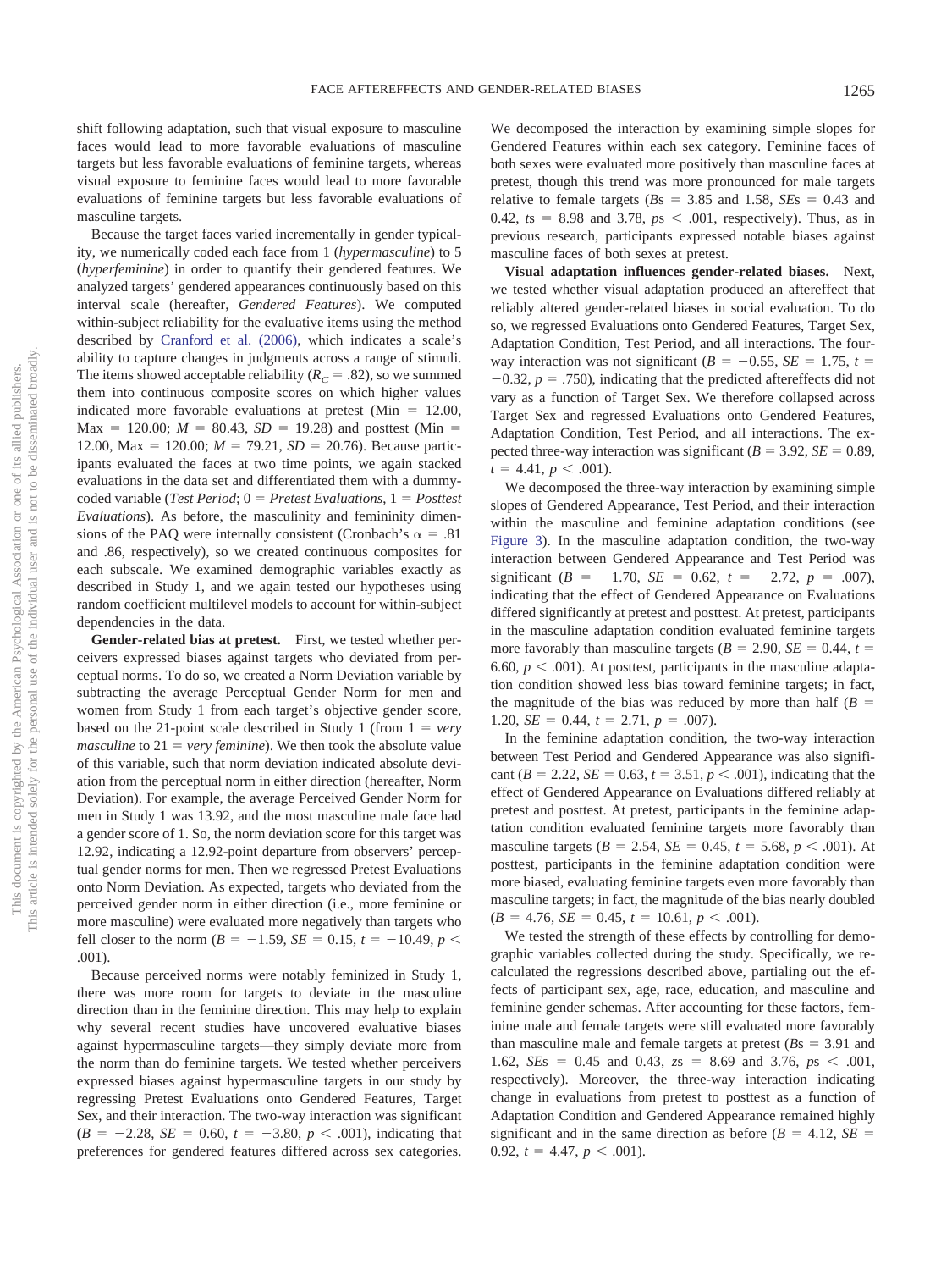shift following adaptation, such that visual exposure to masculine faces would lead to more favorable evaluations of masculine targets but less favorable evaluations of feminine targets, whereas visual exposure to feminine faces would lead to more favorable evaluations of feminine targets but less favorable evaluations of masculine targets.

Because the target faces varied incrementally in gender typicality, we numerically coded each face from 1 (*hypermasculine*) to 5 (*hyperfeminine*) in order to quantify their gendered features. We analyzed targets' gendered appearances continuously based on this interval scale (hereafter, *Gendered Features*). We computed within-subject reliability for the evaluative items using the method described by Cranford et al. (2006), which indicates a scale's ability to capture changes in judgments across a range of stimuli. The items showed acceptable reliability  $(R_C = .82)$ , so we summed them into continuous composite scores on which higher values indicated more favorable evaluations at pretest  $(Min = 12.00,$  $\text{Max} = 120.00; M = 80.43, SD = 19.28$  and posttest (Min = 12.00, Max = 120.00;  $M = 79.21$ ,  $SD = 20.76$ ). Because participants evaluated the faces at two time points, we again stacked evaluations in the data set and differentiated them with a dummycoded variable (*Test Period*; 0 = *Pretest Evaluations*, 1 = *Posttest Evaluations*). As before, the masculinity and femininity dimensions of the PAQ were internally consistent (Cronbach's  $\alpha = .81$ and .86, respectively), so we created continuous composites for each subscale. We examined demographic variables exactly as described in Study 1, and we again tested our hypotheses using random coefficient multilevel models to account for within-subject dependencies in the data.

**Gender-related bias at pretest.** First, we tested whether perceivers expressed biases against targets who deviated from perceptual norms. To do so, we created a Norm Deviation variable by subtracting the average Perceptual Gender Norm for men and women from Study 1 from each target's objective gender score, based on the 21-point scale described in Study 1 (from  $1 = very$  $maxculine$  to  $21 = very *feminine*$ ). We then took the absolute value of this variable, such that norm deviation indicated absolute deviation from the perceptual norm in either direction (hereafter, Norm Deviation). For example, the average Perceived Gender Norm for men in Study 1 was 13.92, and the most masculine male face had a gender score of 1. So, the norm deviation score for this target was 12.92, indicating a 12.92-point departure from observers' perceptual gender norms for men. Then we regressed Pretest Evaluations onto Norm Deviation. As expected, targets who deviated from the perceived gender norm in either direction (i.e., more feminine or more masculine) were evaluated more negatively than targets who fell closer to the norm ( $B = -1.59$ ,  $SE = 0.15$ ,  $t = -10.49$ ,  $p <$ .001).

Because perceived norms were notably feminized in Study 1, there was more room for targets to deviate in the masculine direction than in the feminine direction. This may help to explain why several recent studies have uncovered evaluative biases against hypermasculine targets—they simply deviate more from the norm than do feminine targets. We tested whether perceivers expressed biases against hypermasculine targets in our study by regressing Pretest Evaluations onto Gendered Features, Target Sex, and their interaction. The two-way interaction was significant  $(B = -2.28, SE = 0.60, t = -3.80, p < .001)$ , indicating that preferences for gendered features differed across sex categories.

We decomposed the interaction by examining simple slopes for Gendered Features within each sex category. Feminine faces of both sexes were evaluated more positively than masculine faces at pretest, though this trend was more pronounced for male targets relative to female targets  $(Bs = 3.85 \text{ and } 1.58, SEs = 0.43 \text{ and }$ 0.42,  $ts = 8.98$  and 3.78,  $ps < .001$ , respectively). Thus, as in previous research, participants expressed notable biases against masculine faces of both sexes at pretest.

**Visual adaptation influences gender-related biases.** Next, we tested whether visual adaptation produced an aftereffect that reliably altered gender-related biases in social evaluation. To do so, we regressed Evaluations onto Gendered Features, Target Sex, Adaptation Condition, Test Period, and all interactions. The fourway interaction was not significant ( $B = -0.55$ ,  $SE = 1.75$ ,  $t =$  $-0.32$ ,  $p = .750$ ), indicating that the predicted aftereffects did not vary as a function of Target Sex. We therefore collapsed across Target Sex and regressed Evaluations onto Gendered Features, Adaptation Condition, Test Period, and all interactions. The expected three-way interaction was significant  $(B = 3.92, SE = 0.89,$  $t = 4.41, p < .001$ ).

We decomposed the three-way interaction by examining simple slopes of Gendered Appearance, Test Period, and their interaction within the masculine and feminine adaptation conditions (see Figure 3). In the masculine adaptation condition, the two-way interaction between Gendered Appearance and Test Period was significant  $(B = -1.70, \, SE = 0.62, \, t = -2.72, \, p = .007)$ , indicating that the effect of Gendered Appearance on Evaluations differed significantly at pretest and posttest. At pretest, participants in the masculine adaptation condition evaluated feminine targets more favorably than masculine targets  $(B = 2.90, SE = 0.44, t =$ 6.60,  $p < .001$ ). At posttest, participants in the masculine adaptation condition showed less bias toward feminine targets; in fact, the magnitude of the bias was reduced by more than half  $(B =$  $1.20, SE = 0.44, t = 2.71, p = .007$ .

In the feminine adaptation condition, the two-way interaction between Test Period and Gendered Appearance was also significant ( $B = 2.22$ ,  $SE = 0.63$ ,  $t = 3.51$ ,  $p < .001$ ), indicating that the effect of Gendered Appearance on Evaluations differed reliably at pretest and posttest. At pretest, participants in the feminine adaptation condition evaluated feminine targets more favorably than masculine targets  $(B = 2.54, SE = 0.45, t = 5.68, p < .001)$ . At posttest, participants in the feminine adaptation condition were more biased, evaluating feminine targets even more favorably than masculine targets; in fact, the magnitude of the bias nearly doubled  $(B = 4.76, SE = 0.45, t = 10.61, p < .001).$ 

We tested the strength of these effects by controlling for demographic variables collected during the study. Specifically, we recalculated the regressions described above, partialing out the effects of participant sex, age, race, education, and masculine and feminine gender schemas. After accounting for these factors, feminine male and female targets were still evaluated more favorably than masculine male and female targets at pretest  $(Bs = 3.91$  and 1.62, *SEs* = 0.45 and 0.43,  $zs$  = 8.69 and 3.76,  $ps$  < .001, respectively). Moreover, the three-way interaction indicating change in evaluations from pretest to posttest as a function of Adaptation Condition and Gendered Appearance remained highly significant and in the same direction as before  $(B = 4.12, SE =$  $0.92, t = 4.47, p < .001$ .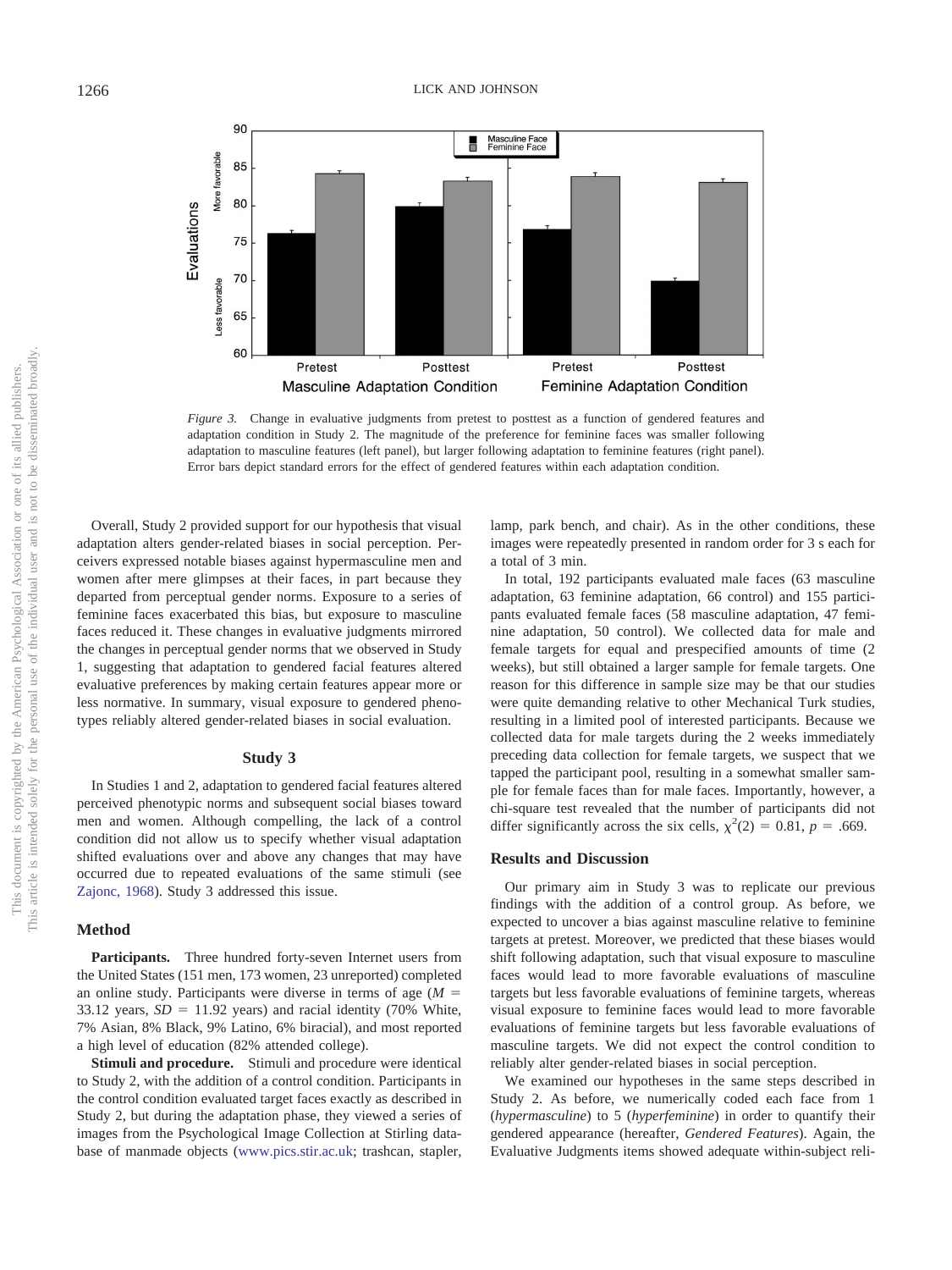

*Figure 3.* Change in evaluative judgments from pretest to posttest as a function of gendered features and adaptation condition in Study 2. The magnitude of the preference for feminine faces was smaller following adaptation to masculine features (left panel), but larger following adaptation to feminine features (right panel). Error bars depict standard errors for the effect of gendered features within each adaptation condition.

Overall, Study 2 provided support for our hypothesis that visual adaptation alters gender-related biases in social perception. Perceivers expressed notable biases against hypermasculine men and women after mere glimpses at their faces, in part because they departed from perceptual gender norms. Exposure to a series of feminine faces exacerbated this bias, but exposure to masculine faces reduced it. These changes in evaluative judgments mirrored the changes in perceptual gender norms that we observed in Study 1, suggesting that adaptation to gendered facial features altered evaluative preferences by making certain features appear more or less normative. In summary, visual exposure to gendered phenotypes reliably altered gender-related biases in social evaluation.

# **Study 3**

In Studies 1 and 2, adaptation to gendered facial features altered perceived phenotypic norms and subsequent social biases toward men and women. Although compelling, the lack of a control condition did not allow us to specify whether visual adaptation shifted evaluations over and above any changes that may have occurred due to repeated evaluations of the same stimuli (see Zajonc, 1968). Study 3 addressed this issue.

#### **Method**

**Participants.** Three hundred forty-seven Internet users from the United States (151 men, 173 women, 23 unreported) completed an online study. Participants were diverse in terms of age  $(M =$ 33.12 years,  $SD = 11.92$  years) and racial identity (70% White, 7% Asian, 8% Black, 9% Latino, 6% biracial), and most reported a high level of education (82% attended college).

**Stimuli and procedure.** Stimuli and procedure were identical to Study 2, with the addition of a control condition. Participants in the control condition evaluated target faces exactly as described in Study 2, but during the adaptation phase, they viewed a series of images from the Psychological Image Collection at Stirling database of manmade objects (www.pics.stir.ac.uk; trashcan, stapler, lamp, park bench, and chair). As in the other conditions, these images were repeatedly presented in random order for 3 s each for a total of 3 min.

In total, 192 participants evaluated male faces (63 masculine adaptation, 63 feminine adaptation, 66 control) and 155 participants evaluated female faces (58 masculine adaptation, 47 feminine adaptation, 50 control). We collected data for male and female targets for equal and prespecified amounts of time (2 weeks), but still obtained a larger sample for female targets. One reason for this difference in sample size may be that our studies were quite demanding relative to other Mechanical Turk studies, resulting in a limited pool of interested participants. Because we collected data for male targets during the 2 weeks immediately preceding data collection for female targets, we suspect that we tapped the participant pool, resulting in a somewhat smaller sample for female faces than for male faces. Importantly, however, a chi-square test revealed that the number of participants did not differ significantly across the six cells,  $\chi^2(2) = 0.81$ ,  $p = .669$ .

# **Results and Discussion**

Our primary aim in Study 3 was to replicate our previous findings with the addition of a control group. As before, we expected to uncover a bias against masculine relative to feminine targets at pretest. Moreover, we predicted that these biases would shift following adaptation, such that visual exposure to masculine faces would lead to more favorable evaluations of masculine targets but less favorable evaluations of feminine targets, whereas visual exposure to feminine faces would lead to more favorable evaluations of feminine targets but less favorable evaluations of masculine targets. We did not expect the control condition to reliably alter gender-related biases in social perception.

We examined our hypotheses in the same steps described in Study 2. As before, we numerically coded each face from 1 (*hypermasculine*) to 5 (*hyperfeminine*) in order to quantify their gendered appearance (hereafter, *Gendered Features*). Again, the Evaluative Judgments items showed adequate within-subject reli-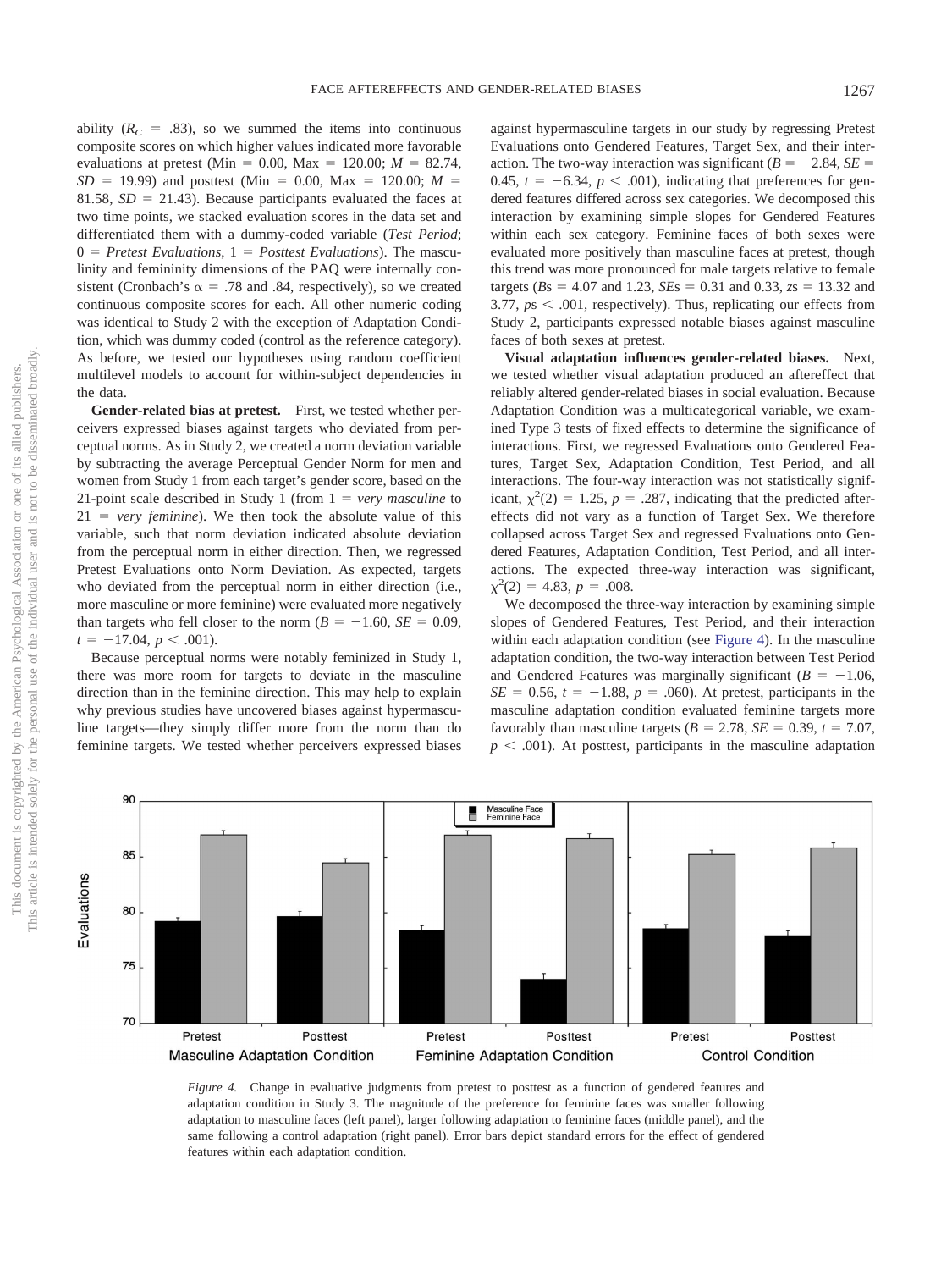ability  $(R_C = .83)$ , so we summed the items into continuous composite scores on which higher values indicated more favorable evaluations at pretest (Min =  $0.00$ , Max =  $120.00$ ;  $M = 82.74$ ,  $SD = 19.99$ ) and posttest (Min = 0.00, Max = 120.00; *M* = 81.58,  $SD = 21.43$ ). Because participants evaluated the faces at two time points, we stacked evaluation scores in the data set and differentiated them with a dummy-coded variable (*Test Period*;  $0 = Pretest \; Evaluations, 1 = Posttest \; Evaluations).$  The masculinity and femininity dimensions of the PAQ were internally consistent (Cronbach's  $\alpha = .78$  and .84, respectively), so we created continuous composite scores for each. All other numeric coding was identical to Study 2 with the exception of Adaptation Condition, which was dummy coded (control as the reference category). As before, we tested our hypotheses using random coefficient multilevel models to account for within-subject dependencies in the data.

**Gender-related bias at pretest.** First, we tested whether perceivers expressed biases against targets who deviated from perceptual norms. As in Study 2, we created a norm deviation variable by subtracting the average Perceptual Gender Norm for men and women from Study 1 from each target's gender score, based on the 21-point scale described in Study 1 (from  $1 = \text{very}$  masculine to  $21 = \text{very familiar}$ ). We then took the absolute value of this variable, such that norm deviation indicated absolute deviation from the perceptual norm in either direction. Then, we regressed Pretest Evaluations onto Norm Deviation. As expected, targets who deviated from the perceptual norm in either direction (i.e., more masculine or more feminine) were evaluated more negatively than targets who fell closer to the norm  $(B = -1.60, SE = 0.09,$  $t = -17.04, p < .001$ ).

Because perceptual norms were notably feminized in Study 1, there was more room for targets to deviate in the masculine direction than in the feminine direction. This may help to explain why previous studies have uncovered biases against hypermasculine targets—they simply differ more from the norm than do feminine targets. We tested whether perceivers expressed biases

against hypermasculine targets in our study by regressing Pretest Evaluations onto Gendered Features, Target Sex, and their interaction. The two-way interaction was significant ( $B = -2.84$ ,  $SE =$ 0.45,  $t = -6.34$ ,  $p < .001$ ), indicating that preferences for gendered features differed across sex categories. We decomposed this interaction by examining simple slopes for Gendered Features within each sex category. Feminine faces of both sexes were evaluated more positively than masculine faces at pretest, though this trend was more pronounced for male targets relative to female  $\text{targets } (Bs = 4.07 \text{ and } 1.23, \text{SEs} = 0.31 \text{ and } 0.33, \text{zs} = 13.32 \text{ and } 0.33, \text{zs} = 13.32 \text{ and } 0.33, \text{zs} = 13.32 \text{ and } 0.33, \text{zs} = 13.32 \text{ and } 0.33, \text{zs} = 13.32 \text{ and } 0.33, \text{zs} = 13.32 \text{ and } 0.33, \text{zs} = 13.32 \text{ and } 0.33, \text{zs} = 13.32$  $3.77, ps < .001$ , respectively). Thus, replicating our effects from Study 2, participants expressed notable biases against masculine faces of both sexes at pretest.

**Visual adaptation influences gender-related biases.** Next, we tested whether visual adaptation produced an aftereffect that reliably altered gender-related biases in social evaluation. Because Adaptation Condition was a multicategorical variable, we examined Type 3 tests of fixed effects to determine the significance of interactions. First, we regressed Evaluations onto Gendered Features, Target Sex, Adaptation Condition, Test Period, and all interactions. The four-way interaction was not statistically significant,  $\chi^2(2) = 1.25$ ,  $p = .287$ , indicating that the predicted aftereffects did not vary as a function of Target Sex. We therefore collapsed across Target Sex and regressed Evaluations onto Gendered Features, Adaptation Condition, Test Period, and all interactions. The expected three-way interaction was significant,  $\chi^2(2) = 4.83, p = .008.$ 

We decomposed the three-way interaction by examining simple slopes of Gendered Features, Test Period, and their interaction within each adaptation condition (see Figure 4). In the masculine adaptation condition, the two-way interaction between Test Period and Gendered Features was marginally significant  $(B = -1.06,$  $SE = 0.56$ ,  $t = -1.88$ ,  $p = .060$ ). At pretest, participants in the masculine adaptation condition evaluated feminine targets more favorably than masculine targets  $(B = 2.78, SE = 0.39, t = 7.07,$  $p < .001$ ). At posttest, participants in the masculine adaptation



*Figure 4.* Change in evaluative judgments from pretest to posttest as a function of gendered features and adaptation condition in Study 3. The magnitude of the preference for feminine faces was smaller following adaptation to masculine faces (left panel), larger following adaptation to feminine faces (middle panel), and the same following a control adaptation (right panel). Error bars depict standard errors for the effect of gendered features within each adaptation condition.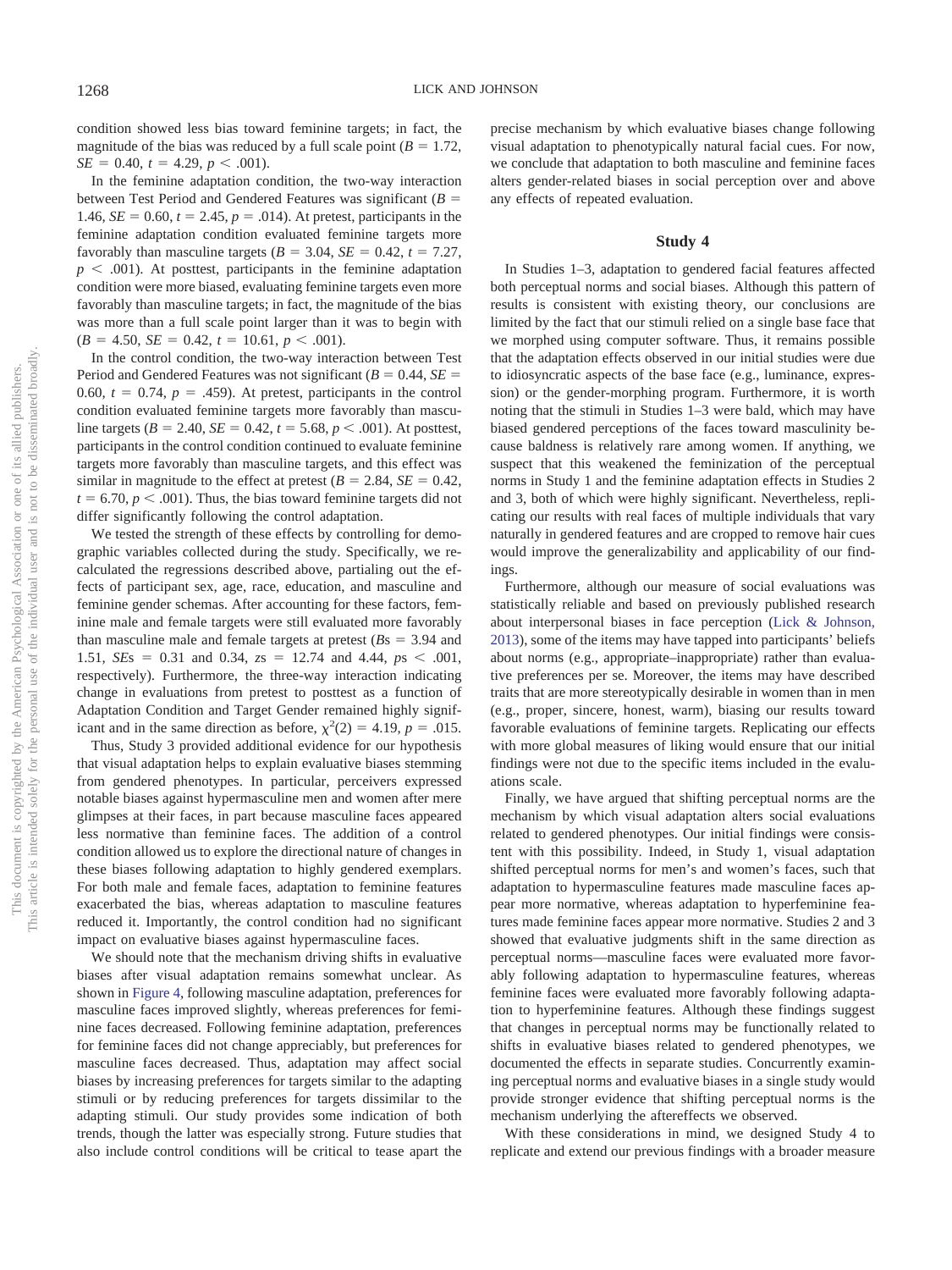condition showed less bias toward feminine targets; in fact, the magnitude of the bias was reduced by a full scale point  $(B = 1.72)$ ,  $SE = 0.40, t = 4.29, p < .001$ .

In the feminine adaptation condition, the two-way interaction between Test Period and Gendered Features was significant  $(B =$ 1.46,  $SE = 0.60$ ,  $t = 2.45$ ,  $p = .014$ ). At pretest, participants in the feminine adaptation condition evaluated feminine targets more favorably than masculine targets  $(B = 3.04, SE = 0.42, t = 7.27,$  $p \leq .001$ ). At posttest, participants in the feminine adaptation condition were more biased, evaluating feminine targets even more favorably than masculine targets; in fact, the magnitude of the bias was more than a full scale point larger than it was to begin with  $(B = 4.50, SE = 0.42, t = 10.61, p < .001).$ 

In the control condition, the two-way interaction between Test Period and Gendered Features was not significant ( $B = 0.44$ ,  $SE =$ 0.60,  $t = 0.74$ ,  $p = .459$ ). At pretest, participants in the control condition evaluated feminine targets more favorably than masculine targets ( $B = 2.40$ ,  $SE = 0.42$ ,  $t = 5.68$ ,  $p < .001$ ). At posttest, participants in the control condition continued to evaluate feminine targets more favorably than masculine targets, and this effect was similar in magnitude to the effect at pretest  $(B = 2.84, SE = 0.42,$  $t = 6.70, p < .001$ ). Thus, the bias toward feminine targets did not differ significantly following the control adaptation.

We tested the strength of these effects by controlling for demographic variables collected during the study. Specifically, we recalculated the regressions described above, partialing out the effects of participant sex, age, race, education, and masculine and feminine gender schemas. After accounting for these factors, feminine male and female targets were still evaluated more favorably than masculine male and female targets at pretest  $(Bs = 3.94$  and 1.51, *SEs* = 0.31 and 0.34,  $zs$  = 12.74 and 4.44,  $ps$  < .001, respectively). Furthermore, the three-way interaction indicating change in evaluations from pretest to posttest as a function of Adaptation Condition and Target Gender remained highly significant and in the same direction as before,  $\chi^2(2) = 4.19$ ,  $p = .015$ .

Thus, Study 3 provided additional evidence for our hypothesis that visual adaptation helps to explain evaluative biases stemming from gendered phenotypes. In particular, perceivers expressed notable biases against hypermasculine men and women after mere glimpses at their faces, in part because masculine faces appeared less normative than feminine faces. The addition of a control condition allowed us to explore the directional nature of changes in these biases following adaptation to highly gendered exemplars. For both male and female faces, adaptation to feminine features exacerbated the bias, whereas adaptation to masculine features reduced it. Importantly, the control condition had no significant impact on evaluative biases against hypermasculine faces.

We should note that the mechanism driving shifts in evaluative biases after visual adaptation remains somewhat unclear. As shown in Figure 4, following masculine adaptation, preferences for masculine faces improved slightly, whereas preferences for feminine faces decreased. Following feminine adaptation, preferences for feminine faces did not change appreciably, but preferences for masculine faces decreased. Thus, adaptation may affect social biases by increasing preferences for targets similar to the adapting stimuli or by reducing preferences for targets dissimilar to the adapting stimuli. Our study provides some indication of both trends, though the latter was especially strong. Future studies that also include control conditions will be critical to tease apart the precise mechanism by which evaluative biases change following visual adaptation to phenotypically natural facial cues. For now, we conclude that adaptation to both masculine and feminine faces alters gender-related biases in social perception over and above any effects of repeated evaluation.

### **Study 4**

In Studies 1–3, adaptation to gendered facial features affected both perceptual norms and social biases. Although this pattern of results is consistent with existing theory, our conclusions are limited by the fact that our stimuli relied on a single base face that we morphed using computer software. Thus, it remains possible that the adaptation effects observed in our initial studies were due to idiosyncratic aspects of the base face (e.g., luminance, expression) or the gender-morphing program. Furthermore, it is worth noting that the stimuli in Studies 1–3 were bald, which may have biased gendered perceptions of the faces toward masculinity because baldness is relatively rare among women. If anything, we suspect that this weakened the feminization of the perceptual norms in Study 1 and the feminine adaptation effects in Studies 2 and 3, both of which were highly significant. Nevertheless, replicating our results with real faces of multiple individuals that vary naturally in gendered features and are cropped to remove hair cues would improve the generalizability and applicability of our findings.

Furthermore, although our measure of social evaluations was statistically reliable and based on previously published research about interpersonal biases in face perception (Lick & Johnson, 2013), some of the items may have tapped into participants' beliefs about norms (e.g., appropriate–inappropriate) rather than evaluative preferences per se. Moreover, the items may have described traits that are more stereotypically desirable in women than in men (e.g., proper, sincere, honest, warm), biasing our results toward favorable evaluations of feminine targets. Replicating our effects with more global measures of liking would ensure that our initial findings were not due to the specific items included in the evaluations scale.

Finally, we have argued that shifting perceptual norms are the mechanism by which visual adaptation alters social evaluations related to gendered phenotypes. Our initial findings were consistent with this possibility. Indeed, in Study 1, visual adaptation shifted perceptual norms for men's and women's faces, such that adaptation to hypermasculine features made masculine faces appear more normative, whereas adaptation to hyperfeminine features made feminine faces appear more normative. Studies 2 and 3 showed that evaluative judgments shift in the same direction as perceptual norms—masculine faces were evaluated more favorably following adaptation to hypermasculine features, whereas feminine faces were evaluated more favorably following adaptation to hyperfeminine features. Although these findings suggest that changes in perceptual norms may be functionally related to shifts in evaluative biases related to gendered phenotypes, we documented the effects in separate studies. Concurrently examining perceptual norms and evaluative biases in a single study would provide stronger evidence that shifting perceptual norms is the mechanism underlying the aftereffects we observed.

With these considerations in mind, we designed Study 4 to replicate and extend our previous findings with a broader measure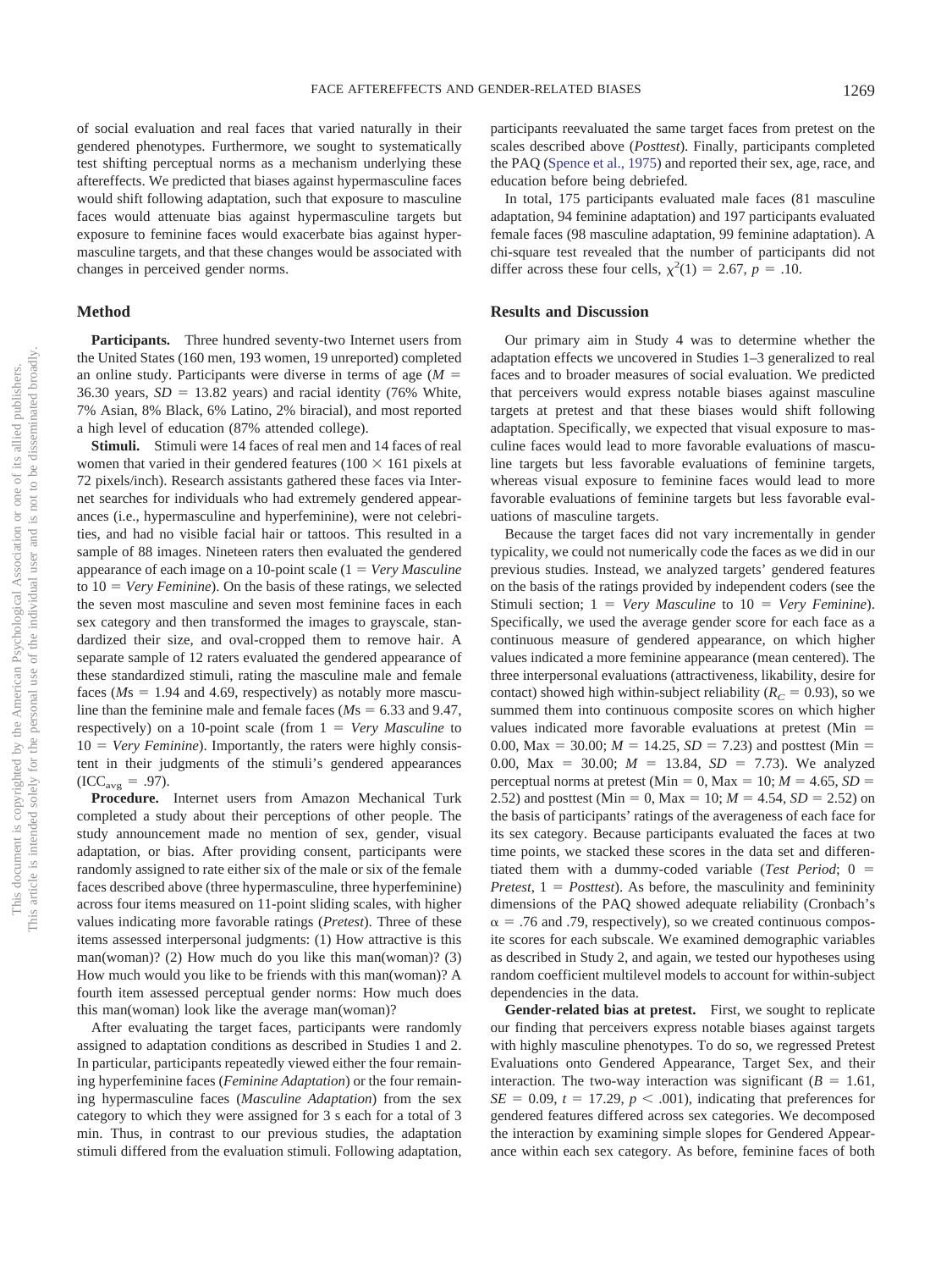of social evaluation and real faces that varied naturally in their gendered phenotypes. Furthermore, we sought to systematically test shifting perceptual norms as a mechanism underlying these aftereffects. We predicted that biases against hypermasculine faces would shift following adaptation, such that exposure to masculine faces would attenuate bias against hypermasculine targets but exposure to feminine faces would exacerbate bias against hypermasculine targets, and that these changes would be associated with changes in perceived gender norms.

#### **Method**

**Participants.** Three hundred seventy-two Internet users from the United States (160 men, 193 women, 19 unreported) completed an online study. Participants were diverse in terms of age  $(M =$ 36.30 years,  $SD = 13.82$  years) and racial identity (76% White, 7% Asian, 8% Black, 6% Latino, 2% biracial), and most reported a high level of education (87% attended college).

**Stimuli.** Stimuli were 14 faces of real men and 14 faces of real women that varied in their gendered features ( $100 \times 161$  pixels at 72 pixels/inch). Research assistants gathered these faces via Internet searches for individuals who had extremely gendered appearances (i.e., hypermasculine and hyperfeminine), were not celebrities, and had no visible facial hair or tattoos. This resulted in a sample of 88 images. Nineteen raters then evaluated the gendered appearance of each image on a 10-point scale (1 = Very Masculine to  $10 = \text{Very}\ \text{Feminine}$ ). On the basis of these ratings, we selected the seven most masculine and seven most feminine faces in each sex category and then transformed the images to grayscale, standardized their size, and oval-cropped them to remove hair. A separate sample of 12 raters evaluated the gendered appearance of these standardized stimuli, rating the masculine male and female faces  $(Ms = 1.94$  and 4.69, respectively) as notably more masculine than the feminine male and female faces ( $M_s = 6.33$  and 9.47, respectively) on a 10-point scale (from  $1 = Very$  *Masculine* to 10 = *Very Feminine*). Importantly, the raters were highly consistent in their judgments of the stimuli's gendered appearances  $(ICC_{avg} = .97).$ 

**Procedure.** Internet users from Amazon Mechanical Turk completed a study about their perceptions of other people. The study announcement made no mention of sex, gender, visual adaptation, or bias. After providing consent, participants were randomly assigned to rate either six of the male or six of the female faces described above (three hypermasculine, three hyperfeminine) across four items measured on 11-point sliding scales, with higher values indicating more favorable ratings (*Pretest*). Three of these items assessed interpersonal judgments: (1) How attractive is this man(woman)? (2) How much do you like this man(woman)? (3) How much would you like to be friends with this man(woman)? A fourth item assessed perceptual gender norms: How much does this man(woman) look like the average man(woman)?

After evaluating the target faces, participants were randomly assigned to adaptation conditions as described in Studies 1 and 2. In particular, participants repeatedly viewed either the four remaining hyperfeminine faces (*Feminine Adaptation*) or the four remaining hypermasculine faces (*Masculine Adaptation*) from the sex category to which they were assigned for 3 s each for a total of 3 min. Thus, in contrast to our previous studies, the adaptation stimuli differed from the evaluation stimuli. Following adaptation,

participants reevaluated the same target faces from pretest on the scales described above (*Posttest*). Finally, participants completed the PAQ (Spence et al., 1975) and reported their sex, age, race, and education before being debriefed.

In total, 175 participants evaluated male faces (81 masculine adaptation, 94 feminine adaptation) and 197 participants evaluated female faces (98 masculine adaptation, 99 feminine adaptation). A chi-square test revealed that the number of participants did not differ across these four cells,  $\chi^2(1) = 2.67$ ,  $p = .10$ .

#### **Results and Discussion**

Our primary aim in Study 4 was to determine whether the adaptation effects we uncovered in Studies 1–3 generalized to real faces and to broader measures of social evaluation. We predicted that perceivers would express notable biases against masculine targets at pretest and that these biases would shift following adaptation. Specifically, we expected that visual exposure to masculine faces would lead to more favorable evaluations of masculine targets but less favorable evaluations of feminine targets, whereas visual exposure to feminine faces would lead to more favorable evaluations of feminine targets but less favorable evaluations of masculine targets.

Because the target faces did not vary incrementally in gender typicality, we could not numerically code the faces as we did in our previous studies. Instead, we analyzed targets' gendered features on the basis of the ratings provided by independent coders (see the Stimuli section;  $1 = V$ ery *Masculine* to  $10 = V$ ery *Feminine*). Specifically, we used the average gender score for each face as a continuous measure of gendered appearance, on which higher values indicated a more feminine appearance (mean centered). The three interpersonal evaluations (attractiveness, likability, desire for contact) showed high within-subject reliability ( $R_C = 0.93$ ), so we summed them into continuous composite scores on which higher values indicated more favorable evaluations at pretest ( $Min =$ 0.00,  $Max = 30.00$ ;  $M = 14.25$ ,  $SD = 7.23$ ) and posttest (Min = 0.00, Max = 30.00;  $M = 13.84$ ,  $SD = 7.73$ ). We analyzed perceptual norms at pretest (Min = 0, Max = 10;  $M = 4.65$ ,  $SD =$ 2.52) and posttest (Min = 0, Max = 10;  $M = 4.54$ ,  $SD = 2.52$ ) on the basis of participants' ratings of the averageness of each face for its sex category. Because participants evaluated the faces at two time points, we stacked these scores in the data set and differentiated them with a dummy-coded variable (*Test Period*; 0 =  $Pretest$ ,  $1 = Posttest$ ). As before, the masculinity and femininity dimensions of the PAQ showed adequate reliability (Cronbach's  $\alpha$  = .76 and .79, respectively), so we created continuous composite scores for each subscale. We examined demographic variables as described in Study 2, and again, we tested our hypotheses using random coefficient multilevel models to account for within-subject dependencies in the data.

**Gender-related bias at pretest.** First, we sought to replicate our finding that perceivers express notable biases against targets with highly masculine phenotypes. To do so, we regressed Pretest Evaluations onto Gendered Appearance, Target Sex, and their interaction. The two-way interaction was significant  $(B = 1.61,$  $SE = 0.09$ ,  $t = 17.29$ ,  $p < .001$ ), indicating that preferences for gendered features differed across sex categories. We decomposed the interaction by examining simple slopes for Gendered Appearance within each sex category. As before, feminine faces of both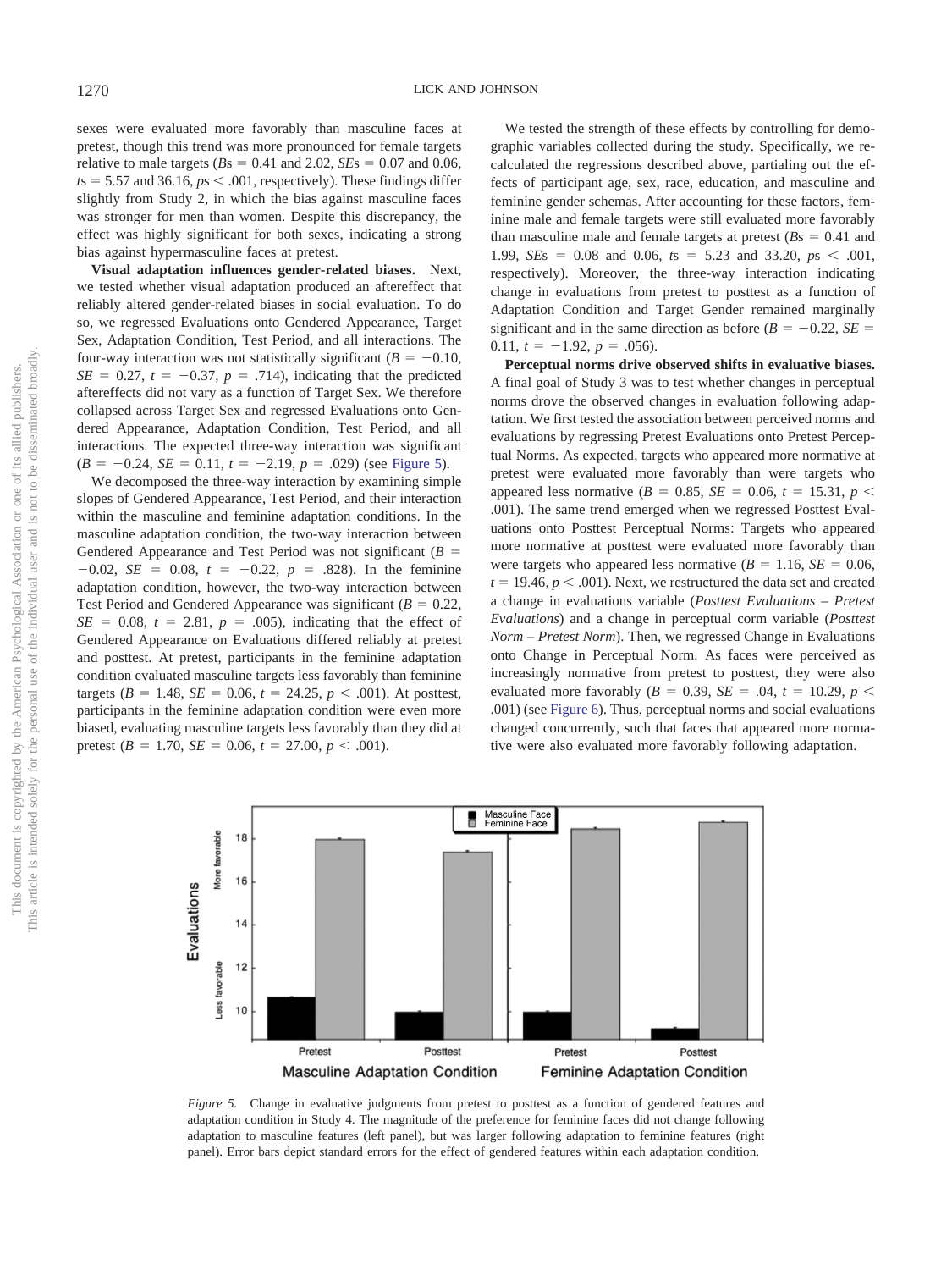sexes were evaluated more favorably than masculine faces at pretest, though this trend was more pronounced for female targets relative to male targets  $(Bs = 0.41$  and 2.02,  $SEs = 0.07$  and 0.06,  $t s = 5.57$  and 36.16,  $p s < .001$ , respectively). These findings differ slightly from Study 2, in which the bias against masculine faces was stronger for men than women. Despite this discrepancy, the effect was highly significant for both sexes, indicating a strong bias against hypermasculine faces at pretest.

**Visual adaptation influences gender-related biases.** Next, we tested whether visual adaptation produced an aftereffect that reliably altered gender-related biases in social evaluation. To do so, we regressed Evaluations onto Gendered Appearance, Target Sex, Adaptation Condition, Test Period, and all interactions. The four-way interaction was not statistically significant  $(B = -0.10,$  $SE = 0.27$ ,  $t = -0.37$ ,  $p = .714$ ), indicating that the predicted aftereffects did not vary as a function of Target Sex. We therefore collapsed across Target Sex and regressed Evaluations onto Gendered Appearance, Adaptation Condition, Test Period, and all interactions. The expected three-way interaction was significant  $(B = -0.24, SE = 0.11, t = -2.19, p = .029)$  (see Figure 5).

We decomposed the three-way interaction by examining simple slopes of Gendered Appearance, Test Period, and their interaction within the masculine and feminine adaptation conditions. In the masculine adaptation condition, the two-way interaction between Gendered Appearance and Test Period was not significant  $(B =$  $-0.02$ , *SE* = 0.08,  $t = -0.22$ ,  $p = .828$ ). In the feminine adaptation condition, however, the two-way interaction between Test Period and Gendered Appearance was significant  $(B = 0.22,$  $SE = 0.08$ ,  $t = 2.81$ ,  $p = .005$ ), indicating that the effect of Gendered Appearance on Evaluations differed reliably at pretest and posttest. At pretest, participants in the feminine adaptation condition evaluated masculine targets less favorably than feminine  $\text{targets } (B = 1.48, \, SE = 0.06, \, t = 24.25, \, p < .001).$  At posttest, participants in the feminine adaptation condition were even more biased, evaluating masculine targets less favorably than they did at pretest ( $B = 1.70$ ,  $SE = 0.06$ ,  $t = 27.00$ ,  $p < .001$ ).

We tested the strength of these effects by controlling for demographic variables collected during the study. Specifically, we recalculated the regressions described above, partialing out the effects of participant age, sex, race, education, and masculine and feminine gender schemas. After accounting for these factors, feminine male and female targets were still evaluated more favorably than masculine male and female targets at pretest  $(Bs = 0.41$  and 1.99, *SEs* = 0.08 and 0.06,  $ts = 5.23$  and 33.20,  $ps < .001$ , respectively). Moreover, the three-way interaction indicating change in evaluations from pretest to posttest as a function of Adaptation Condition and Target Gender remained marginally significant and in the same direction as before  $(B = -0.22, SE =$  $0.11, t = -1.92, p = .056$ .

**Perceptual norms drive observed shifts in evaluative biases.** A final goal of Study 3 was to test whether changes in perceptual norms drove the observed changes in evaluation following adaptation. We first tested the association between perceived norms and evaluations by regressing Pretest Evaluations onto Pretest Perceptual Norms. As expected, targets who appeared more normative at pretest were evaluated more favorably than were targets who appeared less normative ( $B = 0.85$ ,  $SE = 0.06$ ,  $t = 15.31$ ,  $p <$ .001). The same trend emerged when we regressed Posttest Evaluations onto Posttest Perceptual Norms: Targets who appeared more normative at posttest were evaluated more favorably than were targets who appeared less normative  $(B = 1.16, SE = 0.06,$  $t = 19.46, p < .001$ ). Next, we restructured the data set and created a change in evaluations variable (*Posttest Evaluations – Pretest Evaluations*) and a change in perceptual corm variable (*Posttest Norm – Pretest Norm*). Then, we regressed Change in Evaluations onto Change in Perceptual Norm. As faces were perceived as increasingly normative from pretest to posttest, they were also evaluated more favorably ( $B = 0.39$ ,  $SE = 0.04$ ,  $t = 10.29$ ,  $p <$ .001) (see Figure 6). Thus, perceptual norms and social evaluations changed concurrently, such that faces that appeared more normative were also evaluated more favorably following adaptation.



*Figure 5.* Change in evaluative judgments from pretest to posttest as a function of gendered features and adaptation condition in Study 4. The magnitude of the preference for feminine faces did not change following adaptation to masculine features (left panel), but was larger following adaptation to feminine features (right panel). Error bars depict standard errors for the effect of gendered features within each adaptation condition.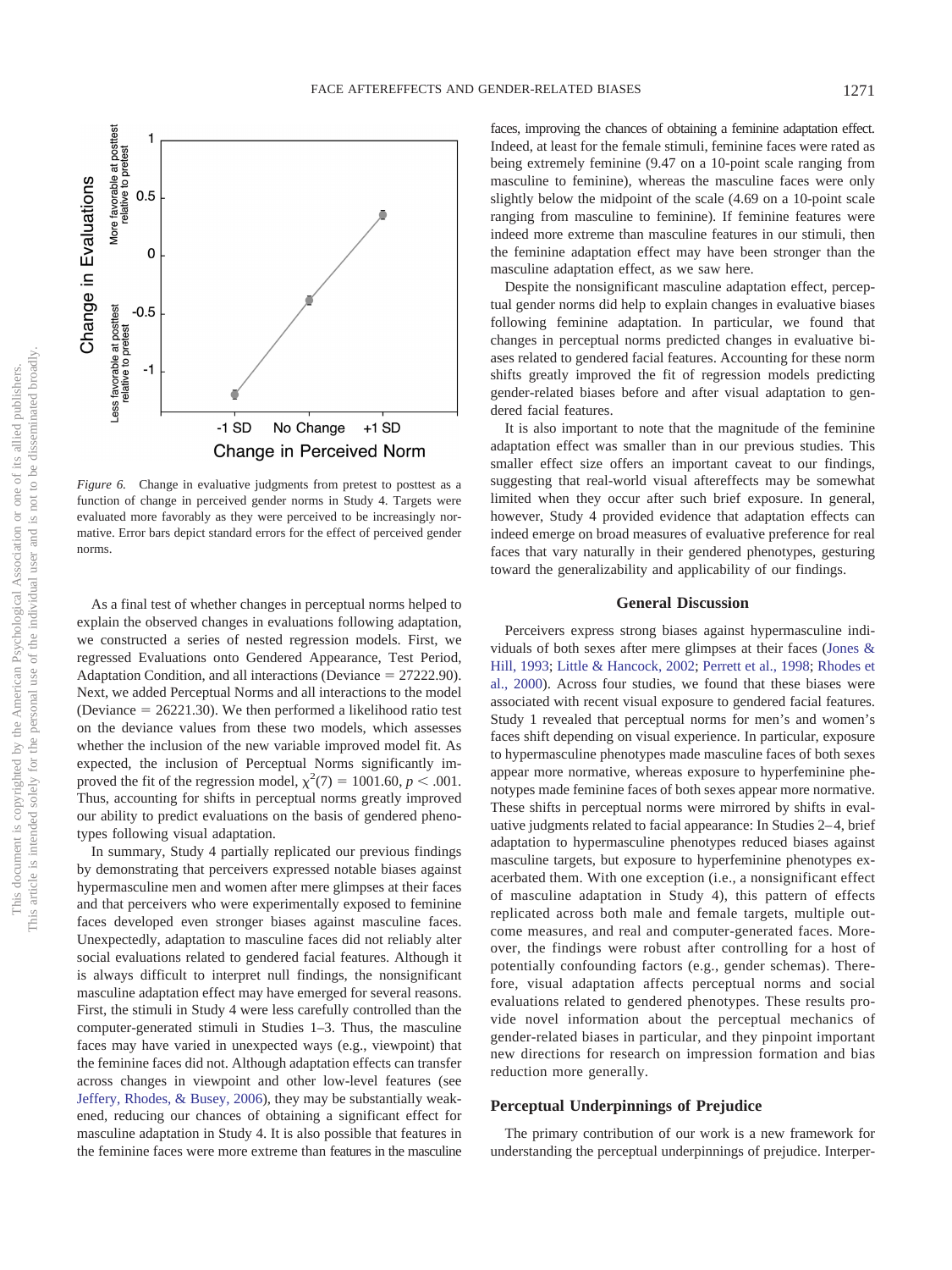

*Figure 6.* Change in evaluative judgments from pretest to posttest as a function of change in perceived gender norms in Study 4. Targets were evaluated more favorably as they were perceived to be increasingly normative. Error bars depict standard errors for the effect of perceived gender norms.

As a final test of whether changes in perceptual norms helped to explain the observed changes in evaluations following adaptation, we constructed a series of nested regression models. First, we regressed Evaluations onto Gendered Appearance, Test Period, Adaptation Condition, and all interactions (Deviance = 27222.90). Next, we added Perceptual Norms and all interactions to the model (Deviance  $= 26221.30$ ). We then performed a likelihood ratio test on the deviance values from these two models, which assesses whether the inclusion of the new variable improved model fit. As expected, the inclusion of Perceptual Norms significantly improved the fit of the regression model,  $\chi^2(7) = 1001.60, p < .001$ . Thus, accounting for shifts in perceptual norms greatly improved our ability to predict evaluations on the basis of gendered phenotypes following visual adaptation.

In summary, Study 4 partially replicated our previous findings by demonstrating that perceivers expressed notable biases against hypermasculine men and women after mere glimpses at their faces and that perceivers who were experimentally exposed to feminine faces developed even stronger biases against masculine faces. Unexpectedly, adaptation to masculine faces did not reliably alter social evaluations related to gendered facial features. Although it is always difficult to interpret null findings, the nonsignificant masculine adaptation effect may have emerged for several reasons. First, the stimuli in Study 4 were less carefully controlled than the computer-generated stimuli in Studies 1–3. Thus, the masculine faces may have varied in unexpected ways (e.g., viewpoint) that the feminine faces did not. Although adaptation effects can transfer across changes in viewpoint and other low-level features (see Jeffery, Rhodes, & Busey, 2006), they may be substantially weakened, reducing our chances of obtaining a significant effect for masculine adaptation in Study 4. It is also possible that features in the feminine faces were more extreme than features in the masculine

faces, improving the chances of obtaining a feminine adaptation effect. Indeed, at least for the female stimuli, feminine faces were rated as being extremely feminine (9.47 on a 10-point scale ranging from masculine to feminine), whereas the masculine faces were only slightly below the midpoint of the scale (4.69 on a 10-point scale ranging from masculine to feminine). If feminine features were indeed more extreme than masculine features in our stimuli, then the feminine adaptation effect may have been stronger than the masculine adaptation effect, as we saw here.

Despite the nonsignificant masculine adaptation effect, perceptual gender norms did help to explain changes in evaluative biases following feminine adaptation. In particular, we found that changes in perceptual norms predicted changes in evaluative biases related to gendered facial features. Accounting for these norm shifts greatly improved the fit of regression models predicting gender-related biases before and after visual adaptation to gendered facial features.

It is also important to note that the magnitude of the feminine adaptation effect was smaller than in our previous studies. This smaller effect size offers an important caveat to our findings, suggesting that real-world visual aftereffects may be somewhat limited when they occur after such brief exposure. In general, however, Study 4 provided evidence that adaptation effects can indeed emerge on broad measures of evaluative preference for real faces that vary naturally in their gendered phenotypes, gesturing toward the generalizability and applicability of our findings.

#### **General Discussion**

Perceivers express strong biases against hypermasculine individuals of both sexes after mere glimpses at their faces (Jones & Hill, 1993; Little & Hancock, 2002; Perrett et al., 1998; Rhodes et al., 2000). Across four studies, we found that these biases were associated with recent visual exposure to gendered facial features. Study 1 revealed that perceptual norms for men's and women's faces shift depending on visual experience. In particular, exposure to hypermasculine phenotypes made masculine faces of both sexes appear more normative, whereas exposure to hyperfeminine phenotypes made feminine faces of both sexes appear more normative. These shifts in perceptual norms were mirrored by shifts in evaluative judgments related to facial appearance: In Studies 2– 4, brief adaptation to hypermasculine phenotypes reduced biases against masculine targets, but exposure to hyperfeminine phenotypes exacerbated them. With one exception (i.e., a nonsignificant effect of masculine adaptation in Study 4), this pattern of effects replicated across both male and female targets, multiple outcome measures, and real and computer-generated faces. Moreover, the findings were robust after controlling for a host of potentially confounding factors (e.g., gender schemas). Therefore, visual adaptation affects perceptual norms and social evaluations related to gendered phenotypes. These results provide novel information about the perceptual mechanics of gender-related biases in particular, and they pinpoint important new directions for research on impression formation and bias reduction more generally.

# **Perceptual Underpinnings of Prejudice**

The primary contribution of our work is a new framework for understanding the perceptual underpinnings of prejudice. Interper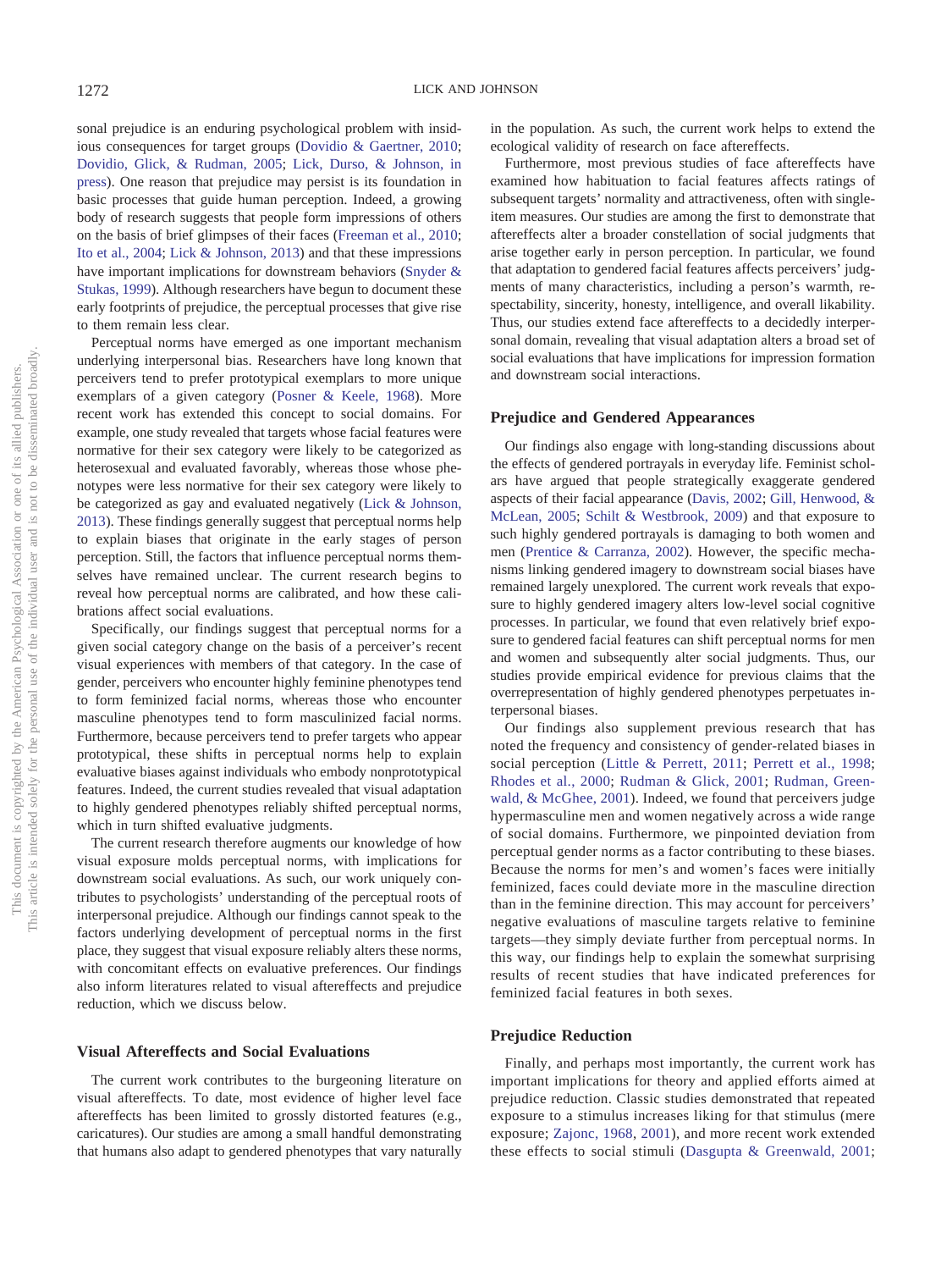sonal prejudice is an enduring psychological problem with insidious consequences for target groups (Dovidio & Gaertner, 2010; Dovidio, Glick, & Rudman, 2005; Lick, Durso, & Johnson, in press). One reason that prejudice may persist is its foundation in basic processes that guide human perception. Indeed, a growing body of research suggests that people form impressions of others on the basis of brief glimpses of their faces (Freeman et al., 2010; Ito et al., 2004; Lick & Johnson, 2013) and that these impressions have important implications for downstream behaviors (Snyder & Stukas, 1999). Although researchers have begun to document these early footprints of prejudice, the perceptual processes that give rise to them remain less clear.

Perceptual norms have emerged as one important mechanism underlying interpersonal bias. Researchers have long known that perceivers tend to prefer prototypical exemplars to more unique exemplars of a given category (Posner & Keele, 1968). More recent work has extended this concept to social domains. For example, one study revealed that targets whose facial features were normative for their sex category were likely to be categorized as heterosexual and evaluated favorably, whereas those whose phenotypes were less normative for their sex category were likely to be categorized as gay and evaluated negatively (Lick & Johnson, 2013). These findings generally suggest that perceptual norms help to explain biases that originate in the early stages of person perception. Still, the factors that influence perceptual norms themselves have remained unclear. The current research begins to reveal how perceptual norms are calibrated, and how these calibrations affect social evaluations.

Specifically, our findings suggest that perceptual norms for a given social category change on the basis of a perceiver's recent visual experiences with members of that category. In the case of gender, perceivers who encounter highly feminine phenotypes tend to form feminized facial norms, whereas those who encounter masculine phenotypes tend to form masculinized facial norms. Furthermore, because perceivers tend to prefer targets who appear prototypical, these shifts in perceptual norms help to explain evaluative biases against individuals who embody nonprototypical features. Indeed, the current studies revealed that visual adaptation to highly gendered phenotypes reliably shifted perceptual norms, which in turn shifted evaluative judgments.

The current research therefore augments our knowledge of how visual exposure molds perceptual norms, with implications for downstream social evaluations. As such, our work uniquely contributes to psychologists' understanding of the perceptual roots of interpersonal prejudice. Although our findings cannot speak to the factors underlying development of perceptual norms in the first place, they suggest that visual exposure reliably alters these norms, with concomitant effects on evaluative preferences. Our findings also inform literatures related to visual aftereffects and prejudice reduction, which we discuss below.

#### **Visual Aftereffects and Social Evaluations**

The current work contributes to the burgeoning literature on visual aftereffects. To date, most evidence of higher level face aftereffects has been limited to grossly distorted features (e.g., caricatures). Our studies are among a small handful demonstrating that humans also adapt to gendered phenotypes that vary naturally in the population. As such, the current work helps to extend the ecological validity of research on face aftereffects.

Furthermore, most previous studies of face aftereffects have examined how habituation to facial features affects ratings of subsequent targets' normality and attractiveness, often with singleitem measures. Our studies are among the first to demonstrate that aftereffects alter a broader constellation of social judgments that arise together early in person perception. In particular, we found that adaptation to gendered facial features affects perceivers' judgments of many characteristics, including a person's warmth, respectability, sincerity, honesty, intelligence, and overall likability. Thus, our studies extend face aftereffects to a decidedly interpersonal domain, revealing that visual adaptation alters a broad set of social evaluations that have implications for impression formation and downstream social interactions.

#### **Prejudice and Gendered Appearances**

Our findings also engage with long-standing discussions about the effects of gendered portrayals in everyday life. Feminist scholars have argued that people strategically exaggerate gendered aspects of their facial appearance (Davis, 2002; Gill, Henwood, & McLean, 2005; Schilt & Westbrook, 2009) and that exposure to such highly gendered portrayals is damaging to both women and men (Prentice & Carranza, 2002). However, the specific mechanisms linking gendered imagery to downstream social biases have remained largely unexplored. The current work reveals that exposure to highly gendered imagery alters low-level social cognitive processes. In particular, we found that even relatively brief exposure to gendered facial features can shift perceptual norms for men and women and subsequently alter social judgments. Thus, our studies provide empirical evidence for previous claims that the overrepresentation of highly gendered phenotypes perpetuates interpersonal biases.

Our findings also supplement previous research that has noted the frequency and consistency of gender-related biases in social perception (Little & Perrett, 2011; Perrett et al., 1998; Rhodes et al., 2000; Rudman & Glick, 2001; Rudman, Greenwald, & McGhee, 2001). Indeed, we found that perceivers judge hypermasculine men and women negatively across a wide range of social domains. Furthermore, we pinpointed deviation from perceptual gender norms as a factor contributing to these biases. Because the norms for men's and women's faces were initially feminized, faces could deviate more in the masculine direction than in the feminine direction. This may account for perceivers' negative evaluations of masculine targets relative to feminine targets—they simply deviate further from perceptual norms. In this way, our findings help to explain the somewhat surprising results of recent studies that have indicated preferences for feminized facial features in both sexes.

### **Prejudice Reduction**

Finally, and perhaps most importantly, the current work has important implications for theory and applied efforts aimed at prejudice reduction. Classic studies demonstrated that repeated exposure to a stimulus increases liking for that stimulus (mere exposure; Zajonc, 1968, 2001), and more recent work extended these effects to social stimuli (Dasgupta & Greenwald, 2001;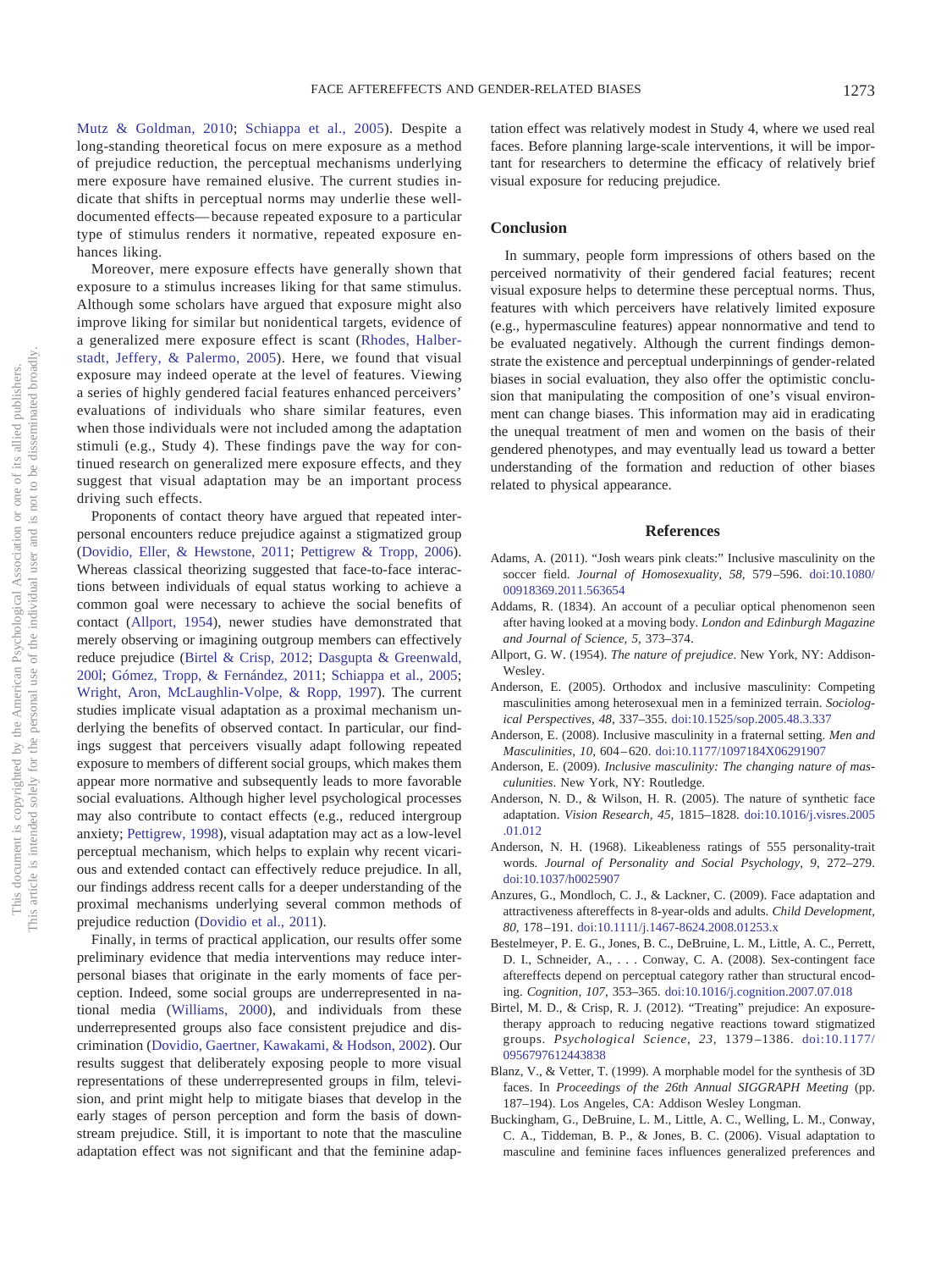Mutz & Goldman, 2010; Schiappa et al., 2005). Despite a long-standing theoretical focus on mere exposure as a method of prejudice reduction, the perceptual mechanisms underlying mere exposure have remained elusive. The current studies indicate that shifts in perceptual norms may underlie these welldocumented effects— because repeated exposure to a particular type of stimulus renders it normative, repeated exposure enhances liking.

Moreover, mere exposure effects have generally shown that exposure to a stimulus increases liking for that same stimulus. Although some scholars have argued that exposure might also improve liking for similar but nonidentical targets, evidence of a generalized mere exposure effect is scant (Rhodes, Halberstadt, Jeffery, & Palermo, 2005). Here, we found that visual exposure may indeed operate at the level of features. Viewing a series of highly gendered facial features enhanced perceivers' evaluations of individuals who share similar features, even when those individuals were not included among the adaptation stimuli (e.g., Study 4). These findings pave the way for continued research on generalized mere exposure effects, and they suggest that visual adaptation may be an important process driving such effects.

Proponents of contact theory have argued that repeated interpersonal encounters reduce prejudice against a stigmatized group (Dovidio, Eller, & Hewstone, 2011; Pettigrew & Tropp, 2006). Whereas classical theorizing suggested that face-to-face interactions between individuals of equal status working to achieve a common goal were necessary to achieve the social benefits of contact (Allport, 1954), newer studies have demonstrated that merely observing or imagining outgroup members can effectively reduce prejudice (Birtel & Crisp, 2012; Dasgupta & Greenwald, 200l; Gómez, Tropp, & Fernández, 2011; Schiappa et al., 2005; Wright, Aron, McLaughlin-Volpe, & Ropp, 1997). The current studies implicate visual adaptation as a proximal mechanism underlying the benefits of observed contact. In particular, our findings suggest that perceivers visually adapt following repeated exposure to members of different social groups, which makes them appear more normative and subsequently leads to more favorable social evaluations. Although higher level psychological processes may also contribute to contact effects (e.g., reduced intergroup anxiety; Pettigrew, 1998), visual adaptation may act as a low-level perceptual mechanism, which helps to explain why recent vicarious and extended contact can effectively reduce prejudice. In all, our findings address recent calls for a deeper understanding of the proximal mechanisms underlying several common methods of prejudice reduction (Dovidio et al., 2011).

Finally, in terms of practical application, our results offer some preliminary evidence that media interventions may reduce interpersonal biases that originate in the early moments of face perception. Indeed, some social groups are underrepresented in national media (Williams, 2000), and individuals from these underrepresented groups also face consistent prejudice and discrimination (Dovidio, Gaertner, Kawakami, & Hodson, 2002). Our results suggest that deliberately exposing people to more visual representations of these underrepresented groups in film, television, and print might help to mitigate biases that develop in the early stages of person perception and form the basis of downstream prejudice. Still, it is important to note that the masculine adaptation effect was not significant and that the feminine adaptation effect was relatively modest in Study 4, where we used real faces. Before planning large-scale interventions, it will be important for researchers to determine the efficacy of relatively brief visual exposure for reducing prejudice.

# **Conclusion**

In summary, people form impressions of others based on the perceived normativity of their gendered facial features; recent visual exposure helps to determine these perceptual norms. Thus, features with which perceivers have relatively limited exposure (e.g., hypermasculine features) appear nonnormative and tend to be evaluated negatively. Although the current findings demonstrate the existence and perceptual underpinnings of gender-related biases in social evaluation, they also offer the optimistic conclusion that manipulating the composition of one's visual environment can change biases. This information may aid in eradicating the unequal treatment of men and women on the basis of their gendered phenotypes, and may eventually lead us toward a better understanding of the formation and reduction of other biases related to physical appearance.

#### **References**

- Adams, A. (2011). "Josh wears pink cleats:" Inclusive masculinity on the soccer field. *Journal of Homosexuality, 58,* 579 –596. doi:10.1080/ 00918369.2011.563654
- Addams, R. (1834). An account of a peculiar optical phenomenon seen after having looked at a moving body. *London and Edinburgh Magazine and Journal of Science, 5,* 373–374.
- Allport, G. W. (1954). *The nature of prejudice*. New York, NY: Addison-Wesley.
- Anderson, E. (2005). Orthodox and inclusive masculinity: Competing masculinities among heterosexual men in a feminized terrain. *Sociological Perspectives, 48,* 337–355. doi:10.1525/sop.2005.48.3.337
- Anderson, E. (2008). Inclusive masculinity in a fraternal setting. *Men and Masculinities, 10,* 604 – 620. doi:10.1177/1097184X06291907
- Anderson, E. (2009). *Inclusive masculinity: The changing nature of masculunities*. New York, NY: Routledge.
- Anderson, N. D., & Wilson, H. R. (2005). The nature of synthetic face adaptation. *Vision Research, 45,* 1815–1828. doi:10.1016/j.visres.2005 .01.012
- Anderson, N. H. (1968). Likeableness ratings of 555 personality-trait words. *Journal of Personality and Social Psychology, 9,* 272–279. doi:10.1037/h0025907
- Anzures, G., Mondloch, C. J., & Lackner, C. (2009). Face adaptation and attractiveness aftereffects in 8-year-olds and adults. *Child Development, 80,* 178 –191. doi:10.1111/j.1467-8624.2008.01253.x
- Bestelmeyer, P. E. G., Jones, B. C., DeBruine, L. M., Little, A. C., Perrett, D. I., Schneider, A.,... Conway, C. A. (2008). Sex-contingent face aftereffects depend on perceptual category rather than structural encoding. *Cognition, 107,* 353–365. doi:10.1016/j.cognition.2007.07.018
- Birtel, M. D., & Crisp, R. J. (2012). "Treating" prejudice: An exposuretherapy approach to reducing negative reactions toward stigmatized groups. *Psychological Science, 23,* 1379 –1386. doi:10.1177/ 0956797612443838
- Blanz, V., & Vetter, T. (1999). A morphable model for the synthesis of 3D faces. In *Proceedings of the 26th Annual SIGGRAPH Meeting* (pp. 187–194). Los Angeles, CA: Addison Wesley Longman.
- Buckingham, G., DeBruine, L. M., Little, A. C., Welling, L. M., Conway, C. A., Tiddeman, B. P., & Jones, B. C. (2006). Visual adaptation to masculine and feminine faces influences generalized preferences and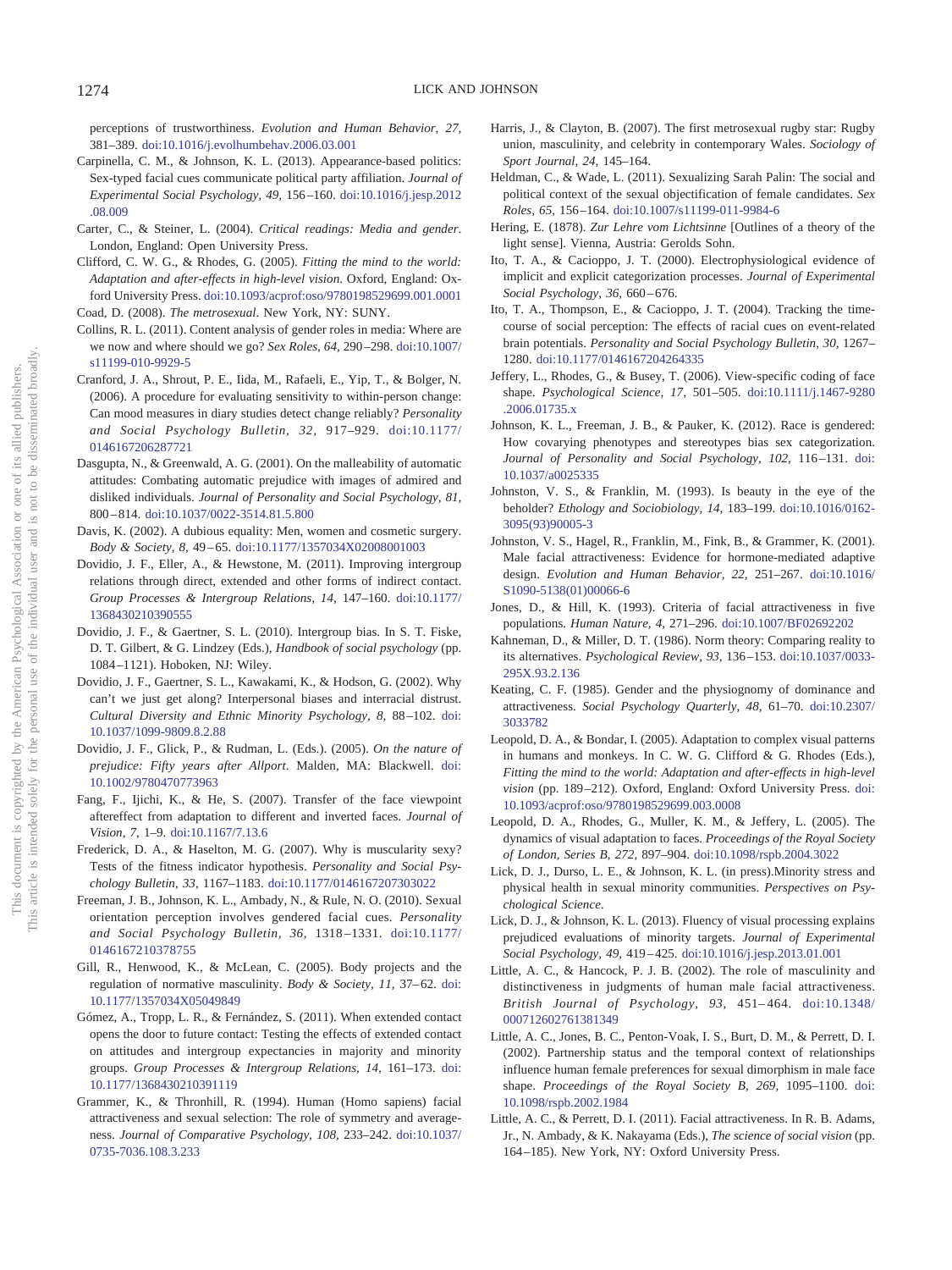perceptions of trustworthiness. *Evolution and Human Behavior, 27,* 381–389. doi:10.1016/j.evolhumbehav.2006.03.001

- Carpinella, C. M., & Johnson, K. L. (2013). Appearance-based politics: Sex-typed facial cues communicate political party affiliation. *Journal of Experimental Social Psychology, 49,* 156 –160. doi:10.1016/j.jesp.2012 .08.009
- Carter, C., & Steiner, L. (2004). *Critical readings: Media and gender*. London, England: Open University Press.
- Clifford, C. W. G., & Rhodes, G. (2005). *Fitting the mind to the world: Adaptation and after-effects in high-level vision*. Oxford, England: Oxford University Press. doi:10.1093/acprof:oso/9780198529699.001.0001 Coad, D. (2008). *The metrosexual*. New York, NY: SUNY.
- Collins, R. L. (2011). Content analysis of gender roles in media: Where are we now and where should we go? *Sex Roles, 64,* 290 –298. doi:10.1007/ s11199-010-9929-5
- Cranford, J. A., Shrout, P. E., Iida, M., Rafaeli, E., Yip, T., & Bolger, N. (2006). A procedure for evaluating sensitivity to within-person change: Can mood measures in diary studies detect change reliably? *Personality and Social Psychology Bulletin, 32,* 917–929. doi:10.1177/ 0146167206287721
- Dasgupta, N., & Greenwald, A. G. (2001). On the malleability of automatic attitudes: Combating automatic prejudice with images of admired and disliked individuals. *Journal of Personality and Social Psychology, 81,* 800 – 814. doi:10.1037/0022-3514.81.5.800
- Davis, K. (2002). A dubious equality: Men, women and cosmetic surgery. *Body & Society, 8,* 49 – 65. doi:10.1177/1357034X02008001003
- Dovidio, J. F., Eller, A., & Hewstone, M. (2011). Improving intergroup relations through direct, extended and other forms of indirect contact. *Group Processes & Intergroup Relations, 14,* 147–160. doi:10.1177/ 1368430210390555
- Dovidio, J. F., & Gaertner, S. L. (2010). Intergroup bias. In S. T. Fiske, D. T. Gilbert, & G. Lindzey (Eds.), *Handbook of social psychology* (pp. 1084 –1121). Hoboken, NJ: Wiley.
- Dovidio, J. F., Gaertner, S. L., Kawakami, K., & Hodson, G. (2002). Why can't we just get along? Interpersonal biases and interracial distrust. *Cultural Diversity and Ethnic Minority Psychology, 8,* 88 –102. doi: 10.1037/1099-9809.8.2.88
- Dovidio, J. F., Glick, P., & Rudman, L. (Eds.). (2005). *On the nature of prejudice: Fifty years after Allport*. Malden, MA: Blackwell. doi: 10.1002/9780470773963
- Fang, F., Ijichi, K., & He, S. (2007). Transfer of the face viewpoint aftereffect from adaptation to different and inverted faces. *Journal of Vision, 7,* 1–9. doi:10.1167/7.13.6
- Frederick, D. A., & Haselton, M. G. (2007). Why is muscularity sexy? Tests of the fitness indicator hypothesis. *Personality and Social Psychology Bulletin, 33,* 1167–1183. doi:10.1177/0146167207303022
- Freeman, J. B., Johnson, K. L., Ambady, N., & Rule, N. O. (2010). Sexual orientation perception involves gendered facial cues. *Personality and Social Psychology Bulletin, 36,* 1318 –1331. doi:10.1177/ 0146167210378755
- Gill, R., Henwood, K., & McLean, C. (2005). Body projects and the regulation of normative masculinity. *Body & Society, 11, 37*-62. doi: 10.1177/1357034X05049849
- Gómez, A., Tropp, L. R., & Fernández, S. (2011). When extended contact opens the door to future contact: Testing the effects of extended contact on attitudes and intergroup expectancies in majority and minority groups. *Group Processes & Intergroup Relations, 14,* 161–173. doi: 10.1177/1368430210391119
- Grammer, K., & Thronhill, R. (1994). Human (Homo sapiens) facial attractiveness and sexual selection: The role of symmetry and averageness. *Journal of Comparative Psychology, 108,* 233–242. doi:10.1037/ 0735-7036.108.3.233
- Harris, J., & Clayton, B. (2007). The first metrosexual rugby star: Rugby union, masculinity, and celebrity in contemporary Wales. *Sociology of Sport Journal, 24,* 145–164.
- Heldman, C., & Wade, L. (2011). Sexualizing Sarah Palin: The social and political context of the sexual objectification of female candidates. *Sex Roles, 65,* 156 –164. doi:10.1007/s11199-011-9984-6
- Hering, E. (1878). *Zur Lehre vom Lichtsinne* [Outlines of a theory of the light sense]. Vienna, Austria: Gerolds Sohn.
- Ito, T. A., & Cacioppo, J. T. (2000). Electrophysiological evidence of implicit and explicit categorization processes. *Journal of Experimental Social Psychology, 36,* 660 – 676.
- Ito, T. A., Thompson, E., & Cacioppo, J. T. (2004). Tracking the timecourse of social perception: The effects of racial cues on event-related brain potentials. *Personality and Social Psychology Bulletin, 30,* 1267– 1280. doi:10.1177/0146167204264335
- Jeffery, L., Rhodes, G., & Busey, T. (2006). View-specific coding of face shape. *Psychological Science, 17,* 501–505. doi:10.1111/j.1467-9280 .2006.01735.x
- Johnson, K. L., Freeman, J. B., & Pauker, K. (2012). Race is gendered: How covarying phenotypes and stereotypes bias sex categorization. Journal of Personality and Social Psychology, 102, 116-131. doi: 10.1037/a0025335
- Johnston, V. S., & Franklin, M. (1993). Is beauty in the eye of the beholder? *Ethology and Sociobiology, 14,* 183–199. doi:10.1016/0162- 3095(93)90005-3
- Johnston, V. S., Hagel, R., Franklin, M., Fink, B., & Grammer, K. (2001). Male facial attractiveness: Evidence for hormone-mediated adaptive design. *Evolution and Human Behavior, 22,* 251–267. doi:10.1016/ S1090-5138(01)00066-6
- Jones, D., & Hill, K. (1993). Criteria of facial attractiveness in five populations. *Human Nature, 4,* 271–296. doi:10.1007/BF02692202
- Kahneman, D., & Miller, D. T. (1986). Norm theory: Comparing reality to its alternatives. *Psychological Review, 93,* 136 –153. doi:10.1037/0033- 295X.93.2.136
- Keating, C. F. (1985). Gender and the physiognomy of dominance and attractiveness. *Social Psychology Quarterly, 48,* 61–70. doi:10.2307/ 3033782
- Leopold, D. A., & Bondar, I. (2005). Adaptation to complex visual patterns in humans and monkeys. In C. W. G. Clifford & G. Rhodes (Eds.), *Fitting the mind to the world: Adaptation and after-effects in high-level vision* (pp. 189–212). Oxford, England: Oxford University Press. doi: 10.1093/acprof:oso/9780198529699.003.0008
- Leopold, D. A., Rhodes, G., Muller, K. M., & Jeffery, L. (2005). The dynamics of visual adaptation to faces. *Proceedings of the Royal Society of London, Series B, 272,* 897–904. doi:10.1098/rspb.2004.3022
- Lick, D. J., Durso, L. E., & Johnson, K. L. (in press).Minority stress and physical health in sexual minority communities. *Perspectives on Psychological Science*.
- Lick, D. J., & Johnson, K. L. (2013). Fluency of visual processing explains prejudiced evaluations of minority targets. *Journal of Experimental Social Psychology, 49,* 419 – 425. doi:10.1016/j.jesp.2013.01.001
- Little, A. C., & Hancock, P. J. B. (2002). The role of masculinity and distinctiveness in judgments of human male facial attractiveness. *British Journal of Psychology, 93,* 451– 464. doi:10.1348/ 000712602761381349
- Little, A. C., Jones, B. C., Penton-Voak, I. S., Burt, D. M., & Perrett, D. I. (2002). Partnership status and the temporal context of relationships influence human female preferences for sexual dimorphism in male face shape. *Proceedings of the Royal Society B, 269,* 1095–1100. doi: 10.1098/rspb.2002.1984
- Little, A. C., & Perrett, D. I. (2011). Facial attractiveness. In R. B. Adams, Jr., N. Ambady, & K. Nakayama (Eds.), *The science of social vision* (pp. 164 –185). New York, NY: Oxford University Press.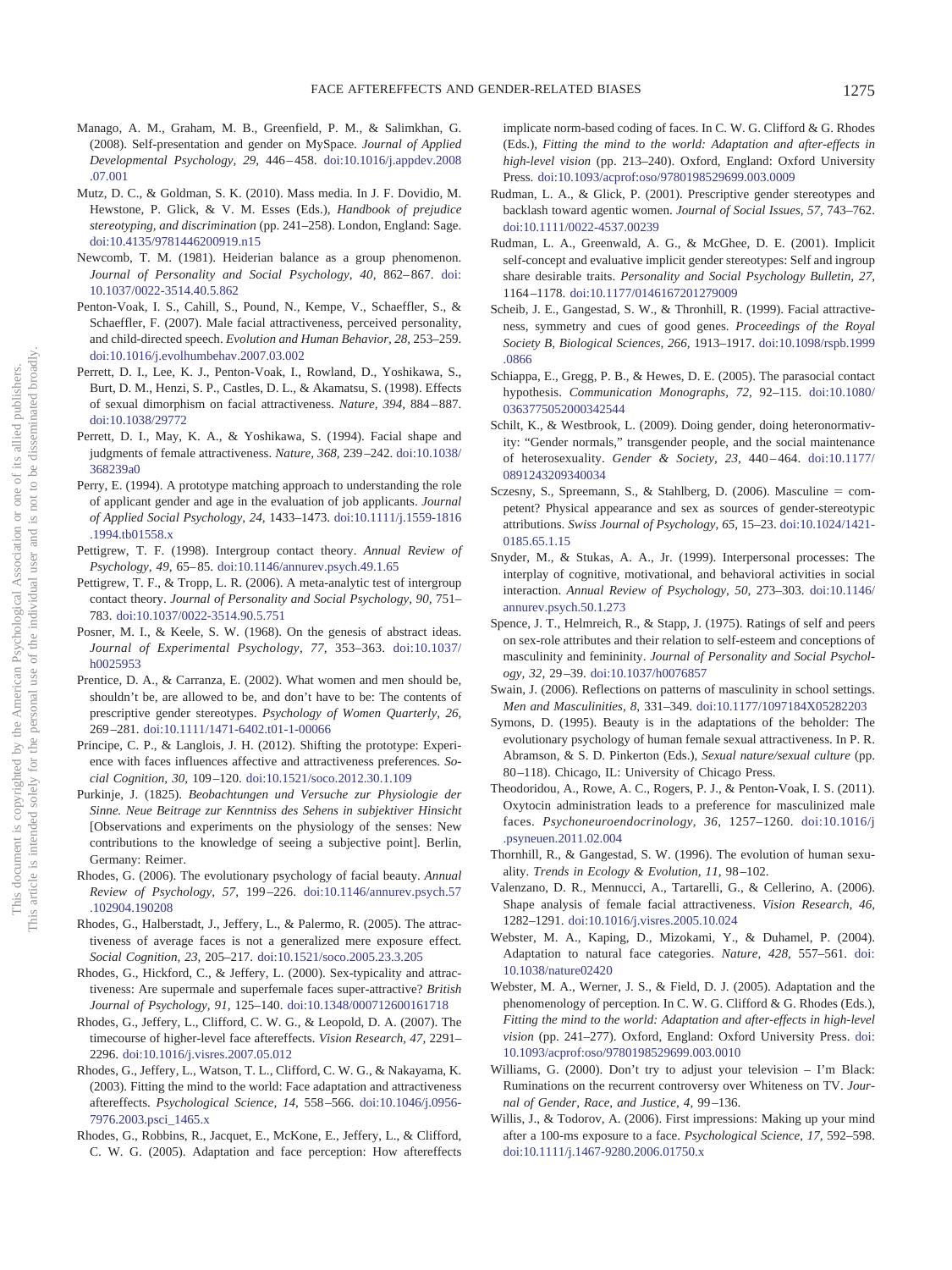- Manago, A. M., Graham, M. B., Greenfield, P. M., & Salimkhan, G. (2008). Self-presentation and gender on MySpace. *Journal of Applied Developmental Psychology, 29,* 446 – 458. doi:10.1016/j.appdev.2008 .07.001
- Mutz, D. C., & Goldman, S. K. (2010). Mass media. In J. F. Dovidio, M. Hewstone, P. Glick, & V. M. Esses (Eds.), *Handbook of prejudice stereotyping, and discrimination* (pp. 241–258). London, England: Sage. doi:10.4135/9781446200919.n15
- Newcomb, T. M. (1981). Heiderian balance as a group phenomenon. *Journal of Personality and Social Psychology, 40,* 862– 867. doi: 10.1037/0022-3514.40.5.862
- Penton-Voak, I. S., Cahill, S., Pound, N., Kempe, V., Schaeffler, S., & Schaeffler, F. (2007). Male facial attractiveness, perceived personality, and child-directed speech. *Evolution and Human Behavior, 28,* 253–259. doi:10.1016/j.evolhumbehav.2007.03.002
- Perrett, D. I., Lee, K. J., Penton-Voak, I., Rowland, D., Yoshikawa, S., Burt, D. M., Henzi, S. P., Castles, D. L., & Akamatsu, S. (1998). Effects of sexual dimorphism on facial attractiveness. *Nature, 394,* 884 – 887. doi:10.1038/29772
- Perrett, D. I., May, K. A., & Yoshikawa, S. (1994). Facial shape and judgments of female attractiveness. *Nature, 368,* 239 –242. doi:10.1038/ 368239a0
- Perry, E. (1994). A prototype matching approach to understanding the role of applicant gender and age in the evaluation of job applicants. *Journal of Applied Social Psychology, 24,* 1433–1473. doi:10.1111/j.1559-1816 .1994.tb01558.x
- Pettigrew, T. F. (1998). Intergroup contact theory. *Annual Review of Psychology, 49,* 65– 85. doi:10.1146/annurev.psych.49.1.65
- Pettigrew, T. F., & Tropp, L. R. (2006). A meta-analytic test of intergroup contact theory. *Journal of Personality and Social Psychology, 90,* 751– 783. doi:10.1037/0022-3514.90.5.751
- Posner, M. I., & Keele, S. W. (1968). On the genesis of abstract ideas. *Journal of Experimental Psychology, 77,* 353–363. doi:10.1037/ h0025953
- Prentice, D. A., & Carranza, E. (2002). What women and men should be, shouldn't be, are allowed to be, and don't have to be: The contents of prescriptive gender stereotypes. *Psychology of Women Quarterly, 26,* 269 –281. doi:10.1111/1471-6402.t01-1-00066
- Principe, C. P., & Langlois, J. H. (2012). Shifting the prototype: Experience with faces influences affective and attractiveness preferences. *Social Cognition, 30,* 109 –120. doi:10.1521/soco.2012.30.1.109
- Purkinje, J. (1825). *Beobachtungen und Versuche zur Physiologie der Sinne. Neue Beitrage zur Kenntniss des Sehens in subjektiver Hinsicht* [Observations and experiments on the physiology of the senses: New contributions to the knowledge of seeing a subjective point]. Berlin, Germany: Reimer.
- Rhodes, G. (2006). The evolutionary psychology of facial beauty. *Annual Review of Psychology, 57,* 199 –226. doi:10.1146/annurev.psych.57 .102904.190208
- Rhodes, G., Halberstadt, J., Jeffery, L., & Palermo, R. (2005). The attractiveness of average faces is not a generalized mere exposure effect. *Social Cognition, 23,* 205–217. doi:10.1521/soco.2005.23.3.205
- Rhodes, G., Hickford, C., & Jeffery, L. (2000). Sex-typicality and attractiveness: Are supermale and superfemale faces super-attractive? *British Journal of Psychology, 91,* 125–140. doi:10.1348/000712600161718
- Rhodes, G., Jeffery, L., Clifford, C. W. G., & Leopold, D. A. (2007). The timecourse of higher-level face aftereffects. *Vision Research, 47,* 2291– 2296. doi:10.1016/j.visres.2007.05.012
- Rhodes, G., Jeffery, L., Watson, T. L., Clifford, C. W. G., & Nakayama, K. (2003). Fitting the mind to the world: Face adaptation and attractiveness aftereffects. *Psychological Science, 14,* 558 –566. doi:10.1046/j.0956- 7976.2003.psci\_1465.x
- Rhodes, G., Robbins, R., Jacquet, E., McKone, E., Jeffery, L., & Clifford, C. W. G. (2005). Adaptation and face perception: How aftereffects

implicate norm-based coding of faces. In C. W. G. Clifford & G. Rhodes (Eds.), *Fitting the mind to the world: Adaptation and after-effects in high-level vision* (pp. 213–240). Oxford, England: Oxford University Press. doi:10.1093/acprof:oso/9780198529699.003.0009

- Rudman, L. A., & Glick, P. (2001). Prescriptive gender stereotypes and backlash toward agentic women. *Journal of Social Issues, 57,* 743–762. doi:10.1111/0022-4537.00239
- Rudman, L. A., Greenwald, A. G., & McGhee, D. E. (2001). Implicit self-concept and evaluative implicit gender stereotypes: Self and ingroup share desirable traits. *Personality and Social Psychology Bulletin, 27,* 1164 –1178. doi:10.1177/0146167201279009
- Scheib, J. E., Gangestad, S. W., & Thronhill, R. (1999). Facial attractiveness, symmetry and cues of good genes. *Proceedings of the Royal Society B, Biological Sciences, 266,* 1913–1917. doi:10.1098/rspb.1999 .0866
- Schiappa, E., Gregg, P. B., & Hewes, D. E. (2005). The parasocial contact hypothesis. *Communication Monographs, 72,* 92–115. doi:10.1080/ 0363775052000342544
- Schilt, K., & Westbrook, L. (2009). Doing gender, doing heteronormativity: "Gender normals," transgender people, and the social maintenance of heterosexuality. *Gender & Society, 23,* 440 – 464. doi:10.1177/ 0891243209340034
- Sczesny, S., Spreemann, S., & Stahlberg, D. (2006). Masculine = competent? Physical appearance and sex as sources of gender-stereotypic attributions. *Swiss Journal of Psychology, 65,* 15–23. doi:10.1024/1421- 0185.65.1.15
- Snyder, M., & Stukas, A. A., Jr. (1999). Interpersonal processes: The interplay of cognitive, motivational, and behavioral activities in social interaction. *Annual Review of Psychology, 50,* 273–303. doi:10.1146/ annurev.psych.50.1.273
- Spence, J. T., Helmreich, R., & Stapp, J. (1975). Ratings of self and peers on sex-role attributes and their relation to self-esteem and conceptions of masculinity and femininity. *Journal of Personality and Social Psychology, 32,* 29 –39. doi:10.1037/h0076857
- Swain, J. (2006). Reflections on patterns of masculinity in school settings. *Men and Masculinities, 8,* 331–349. doi:10.1177/1097184X05282203
- Symons, D. (1995). Beauty is in the adaptations of the beholder: The evolutionary psychology of human female sexual attractiveness. In P. R. Abramson, & S. D. Pinkerton (Eds.), *Sexual nature/sexual culture* (pp. 80-118). Chicago, IL: University of Chicago Press.
- Theodoridou, A., Rowe, A. C., Rogers, P. J., & Penton-Voak, I. S. (2011). Oxytocin administration leads to a preference for masculinized male faces. *Psychoneuroendocrinology, 36,* 1257–1260. doi:10.1016/j .psyneuen.2011.02.004
- Thornhill, R., & Gangestad, S. W. (1996). The evolution of human sexuality. *Trends in Ecology & Evolution, 11,* 98 –102.
- Valenzano, D. R., Mennucci, A., Tartarelli, G., & Cellerino, A. (2006). Shape analysis of female facial attractiveness. *Vision Research, 46,* 1282–1291. doi:10.1016/j.visres.2005.10.024
- Webster, M. A., Kaping, D., Mizokami, Y., & Duhamel, P. (2004). Adaptation to natural face categories. *Nature, 428,* 557–561. doi: 10.1038/nature02420
- Webster, M. A., Werner, J. S., & Field, D. J. (2005). Adaptation and the phenomenology of perception. In C. W. G. Clifford & G. Rhodes (Eds.), *Fitting the mind to the world: Adaptation and after-effects in high-level vision* (pp. 241–277). Oxford, England: Oxford University Press. doi: 10.1093/acprof:oso/9780198529699.003.0010
- Williams, G. (2000). Don't try to adjust your television I'm Black: Ruminations on the recurrent controversy over Whiteness on TV. *Journal of Gender, Race, and Justice, 4,* 99 –136.
- Willis, J., & Todorov, A. (2006). First impressions: Making up your mind after a 100-ms exposure to a face. *Psychological Science, 17,* 592–598. doi:10.1111/j.1467-9280.2006.01750.x